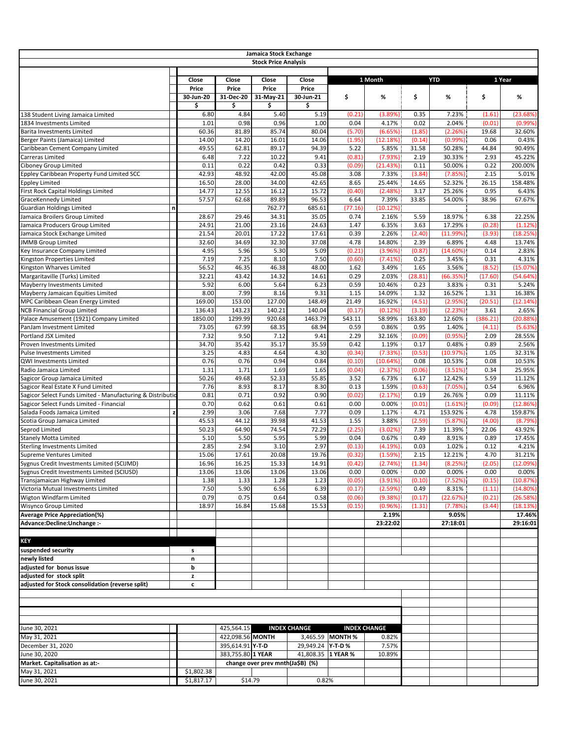| <b>Stock Price Analysis</b><br>Close<br>Close<br>1 Month<br><b>YTD</b><br>1 Year<br>Close<br>Close<br>Price<br>Price<br>Price<br>Price<br>\$<br>\$<br>%<br>\$<br>%<br>30-Jun-20<br>31-Dec-20<br>31-May-21<br>30-Jun-21<br>%<br>\$<br>\$<br>\$<br>\$<br>6.80<br>4.84<br>5.40<br>5.19<br>(0.21)<br>(3.89%)<br>0.35<br>7.23%<br>(23.68%<br>(1.61)<br>138 Student Living Jamaica Limited<br>1.01<br>0.98<br>0.96<br>1.00<br>0.02<br>2.04%<br>(0.01)<br>1834 Investments Limited<br>0.04<br>4.17%<br>(0.99%<br>60.36<br>81.89<br>85.74<br>80.04<br>(5.70)<br>(1.85)<br>19.68<br>Barita Investments Limited<br>(6.65%)<br>(2.26%)<br>32.60%<br>14.00<br>14.20<br>16.01<br>14.06<br>(0.14)<br>0.06<br>(1.95)<br>(12.18%)<br>$(0.99\%)$<br>0.43%<br>Berger Paints (Jamaica) Limited<br>49.55<br>62.81<br>89.17<br>94.39<br>5.85%<br>44.84<br>Caribbean Cement Company Limited<br>5.22<br>31.58<br>50.28%<br>90.49%<br>7.22<br>10.22<br>9.41<br>2.19<br>30.33%<br>45.22%<br>Carreras Limited<br>6.48<br>(0.81)<br>(7.93%)<br>2.93<br>0.11<br>0.42<br>0.33<br>0.11<br>Ciboney Group Limited<br>0.22<br>(0.09)<br>(21.43%)<br>50.00%<br>0.22<br>200.00%<br>42.93<br>48.92<br>42.00<br>45.08<br>7.33%<br>(3.84)<br>(7.85%)<br>2.15<br>Eppley Caribbean Property Fund Limited SCC<br>3.08<br>5.01%<br>16.50<br>28.00<br>34.00<br>42.65<br>8.65<br>25.44%<br>52.32%<br>26.15<br>158.48%<br>14.65<br><b>Eppley Limited</b><br>14.77<br>12.55<br>16.12<br>15.72<br>(2.48%)<br>25.26%<br>0.95<br>First Rock Capital Holdings Limited<br>(0.40)<br>3.17<br>6.43%<br>57.57<br>89.89<br>96.53<br>7.39%<br>33.85<br>54.00%<br>GraceKennedy Limited<br>62.68<br>6.64<br>38.96<br>67.67%<br>762.77<br>685.61<br><b>Guardian Holdings Limited</b><br>(77.16)<br>(10.12%)<br>n<br>34.31<br>35.05<br>Jamaica Broilers Group Limited<br>28.67<br>29.46<br>0.74<br>2.16%<br>5.59<br>18.97%<br>6.38<br>22.25%<br>24.91<br>21.00<br>23.16<br>24.63<br>6.35%<br>3.63<br>Jamaica Producers Group Limited<br>1.47<br>17.29%<br>(0.28)<br>(1.12%)<br>20.01<br>17.22<br>17.61<br>2.26%<br>(2.40)<br>Jamaica Stock Exchange Limited<br>21.54<br>0.39<br>(11.99%)<br>(3.93)<br>(18.25%)<br>32.60<br>32.30<br>37.08<br>14.80%<br><b>JMMB Group Limited</b><br>34.69<br>4.78<br>2.39<br>6.89%<br>4.48<br>13.74%<br>4.95<br>5.30<br>5.09<br>Key Insurance Company Limited<br>5.96<br>(0.21)<br>(3.96%)<br>(0.87)<br>(14.60%)<br>0.14<br>2.83%<br>8.10<br>7.50<br>7.19<br>7.25<br>0.25<br>0.31<br>4.31%<br>Kingston Properties Limited<br>(0.60)<br>(7.41%)<br>3.45%<br>56.52<br>46.38<br>48.00<br>1.65<br>3.56%<br>Kingston Wharves Limited<br>46.35<br>1.62<br>3.49%<br>(8.52)<br>(15.07%)<br>32.21<br>43.42<br>14.32<br>14.61<br>0.29<br>2.03%<br>(28.81)<br>Margaritaville (Turks) Limited<br>(66.35%)<br>(17.60)<br>(54.64%<br>5.92<br>5.64<br>Mayberry Investments Limited<br>6.00<br>6.23<br>0.59<br>10.46%<br>0.23<br>3.83%<br>0.31<br>5.24%<br>8.00<br>7.99<br>8.16<br>9.31<br>14.09%<br>1.32<br>16.52%<br>Mayberry Jamaican Equities Limited<br>1.15<br>1.31<br>16.38%<br>(4.51)<br>(20.51)<br>MPC Caribbean Clean Energy Limited<br>169.00<br>153.00<br>127.00<br>148.49<br>21.49<br>16.92%<br>(2.95%)<br>(12.14%)<br>143.23<br>140.21<br>140.04<br>(3.19)<br>3.61<br><b>NCB Financial Group Limited</b><br>136.43<br>(0.17)<br>(0.12%)<br>(2.23%)<br>2.65%<br>58.99%<br>(386.21)<br>Palace Amusement (1921) Company Limited<br>1850.00<br>1299.99<br>920.68<br>1463.79<br>543.11<br>163.80<br>12.60%<br>(20.88%)<br>68.35<br>68.94<br>0.59<br>0.86%<br>0.95<br>73.05<br>67.99<br>1.40%<br>(4.11)<br>(5.63%)<br>PanJam Investment Limited<br>7.32<br>9.50<br>7.12<br>9.41<br>2.29<br>32.16%<br>(0.09)<br>(0.95%)<br>2.09<br>Portland JSX Limited<br>28.55%<br>34.70<br>35.42<br>35.17<br>35.59<br>0.42<br>1.19%<br>0.89<br>0.17<br>0.48%<br>2.56%<br>Proven Investments Limited<br>4.83<br>4.64<br>4.30<br>(7.33%)<br>3.25<br>(0.34)<br>(0.53)<br>(10.97%)<br>1.05<br>32.31%<br>Pulse Investments Limited<br>0.76<br>0.76<br>0.94<br>0.84<br>(0.10)<br>(10.64%)<br>0.08<br>10.53%<br>0.08<br>10.53%<br>QWI Investments Limited<br>1.31<br>1.71<br>1.69<br>1.65<br>Radio Jamaica Limited<br>(0.04)<br>(2.37%)<br>(0.06)<br>$(3.51\%)$<br>0.34<br>25.95%<br>50.26<br>52.33<br>55.85<br>49.68<br>3.52<br>6.73%<br>6.17<br>12.42%<br>5.59<br>11.12%<br>Sagicor Group Jamaica Limited<br>8.17<br>7.76<br>8.93<br>8.30<br>1.59%<br>0.54<br>6.96%<br>0.13<br>(0.63)<br>(7.05%)<br>Sagicor Real Estate X Fund Limited<br>0.92<br>0.90<br>26.76%<br>Sagicor Select Funds Limited - Manufacturing & Distributio<br>0.81<br>0.71<br>(0.02)<br>(2.17%)<br>0.19<br>0.09<br>11.11%<br>0.70<br>0.62<br>0.61<br>0.61<br>0.00<br>0.00%<br>(0.01)<br>(1.61%)<br>(0.09)<br>(12.86%<br>Sagicor Select Funds Limited - Financial<br>2.99<br>7.68<br>7.77<br>153.92%<br>3.06<br>0.09<br>1.17%<br>4.71<br>4.78<br>159.87%<br>Salada Foods Jamaica Limited<br>$\mathbf{z}$<br>45.53<br>39.98<br>41.53<br>3.88%<br>44.12<br>1.55<br>(2.59)<br>(5.87%)<br>(4.00)<br>(8.79%<br>Scotia Group Jamaica Limited<br>64.90<br>74.54<br>72.29<br>Seprod Limited<br>50.23<br>(2.25)<br>(3.02%)<br>7.39<br>11.39%<br>22.06<br>43.92%<br>5.10<br>5.50<br>5.95<br>5.99<br>0.04<br>0.67%<br>0.49<br>0.89<br><b>Stanely Motta Limited</b><br>8.91%<br>17.45%<br>2.85<br>2.94<br>3.10<br>2.97<br>0.03<br>Sterling Investments Limited<br>(0.13)<br>(4.19%)<br>1.02%<br>0.12<br>4.21%<br>15.06<br>20.08<br>19.76<br>17.61<br>(0.32)<br>(1.59%)<br>2.15<br>12.21%<br>4.70<br>31.21%<br>Supreme Ventures Limited<br>16.25<br>15.33<br>14.91<br>Sygnus Credit Investments Limited (SCIJMD)<br>16.96<br>(0.42)<br>(2.74%)<br>(1.34)<br>(8.25%)<br>(2.05)<br>(12.09%)<br>Sygnus Credit Investments Limited (SCIUSD)<br>13.06<br>13.06<br>13.06<br>13.06<br>0.00<br>0.00%<br>0.00<br>$0.00\%$<br>0.00<br>0.00%<br>Transjamaican Highway Limited<br>1.38<br>1.33<br>1.28<br>1.23<br>(0.05)<br>(3.91%)<br>(0.10)<br>(7.52%)<br>(0.15)<br>(10.87%)<br>5.90<br>6.56<br>6.39<br>Victoria Mutual Investments Limited<br>7.50<br>(0.17)<br>(2.59%)<br>0.49<br>8.31%<br>(1.11)<br>$(14.80\%)$<br>Wigton Windfarm Limited<br>0.79<br>0.75<br>0.64<br>0.58<br>(0.06)<br>(9.38%)<br>(0.17)<br>(22.67%)<br>(0.21)<br>(26.58%)<br>18.97<br>15.68<br>15.53<br><b>Wisynco Group Limited</b><br>16.84<br>(0.15)<br>(0.96%)<br>(1.31)<br>(7.78%)<br>(3.44)<br>(18.13%)<br><b>Average Price Appreciation(%)</b><br>2.19%<br>9.05%<br>17.46%<br>Advance:Decline:Unchange :-<br>23:22:02<br>27:18:01<br>29:16:01<br><b>KEY</b><br>suspended security<br>s<br>newly listed<br>n<br>adjusted for bonus issue<br>b<br>adjusted for stock split<br>z<br>adjusted for Stock consolidation (reverse split)<br>c<br>June 30, 2021<br>425,564.15<br><b>INDEX CHANGE</b><br><b>INDEX CHANGE</b><br>May 31, 2021<br>422,098.56 MONTH<br>3,465.59 MONTH %<br>0.82%<br>395,614.91 Y-T-D<br>29,949.24 <b>Y-T-D%</b><br>7.57%<br>December 31, 2020<br>June 30, 2020<br>383,755.80 1 YEAR<br>41,808.35 1 YEAR %<br>10.89%<br>Market. Capitalisation as at:-<br>change over prev mnth(Ja\$B) (%)<br>May 31, 2021<br>\$1,802.38<br>June 30, 2021<br>\$1,817.17<br>\$14.79<br>0.82% |  | Jamaica Stock Exchange |  |  |  |  |
|-----------------------------------------------------------------------------------------------------------------------------------------------------------------------------------------------------------------------------------------------------------------------------------------------------------------------------------------------------------------------------------------------------------------------------------------------------------------------------------------------------------------------------------------------------------------------------------------------------------------------------------------------------------------------------------------------------------------------------------------------------------------------------------------------------------------------------------------------------------------------------------------------------------------------------------------------------------------------------------------------------------------------------------------------------------------------------------------------------------------------------------------------------------------------------------------------------------------------------------------------------------------------------------------------------------------------------------------------------------------------------------------------------------------------------------------------------------------------------------------------------------------------------------------------------------------------------------------------------------------------------------------------------------------------------------------------------------------------------------------------------------------------------------------------------------------------------------------------------------------------------------------------------------------------------------------------------------------------------------------------------------------------------------------------------------------------------------------------------------------------------------------------------------------------------------------------------------------------------------------------------------------------------------------------------------------------------------------------------------------------------------------------------------------------------------------------------------------------------------------------------------------------------------------------------------------------------------------------------------------------------------------------------------------------------------------------------------------------------------------------------------------------------------------------------------------------------------------------------------------------------------------------------------------------------------------------------------------------------------------------------------------------------------------------------------------------------------------------------------------------------------------------------------------------------------------------------------------------------------------------------------------------------------------------------------------------------------------------------------------------------------------------------------------------------------------------------------------------------------------------------------------------------------------------------------------------------------------------------------------------------------------------------------------------------------------------------------------------------------------------------------------------------------------------------------------------------------------------------------------------------------------------------------------------------------------------------------------------------------------------------------------------------------------------------------------------------------------------------------------------------------------------------------------------------------------------------------------------------------------------------------------------------------------------------------------------------------------------------------------------------------------------------------------------------------------------------------------------------------------------------------------------------------------------------------------------------------------------------------------------------------------------------------------------------------------------------------------------------------------------------------------------------------------------------------------------------------------------------------------------------------------------------------------------------------------------------------------------------------------------------------------------------------------------------------------------------------------------------------------------------------------------------------------------------------------------------------------------------------------------------------------------------------------------------------------------------------------------------------------------------------------------------------------------------------------------------------------------------------------------------------------------------------------------------------------------------------------------------------------------------------------------------------------------------------------------------------------------------------------------------------------------------------------------------------------------------------------------------------------------------------------------------------------------------------------------------------------------------------------------------------------------------------------------------------------------------------------------------------------------------------------------------------------------------------------------------------------------------------------------------------------------------------------------------------------------------------------------------------------------------------------------------------------------------------------------------------------------------------------------------------------------------------------------------------------------------------------------------------------------------------------------------------------------------------------------------------------------------------------------------------------------------------------------------------------------------------------------------------------------------------------------------------------------------------------------------------------------------------------------------------------------------------------------------------------------------------------------------------------------------------------------------------------|--|------------------------|--|--|--|--|
|                                                                                                                                                                                                                                                                                                                                                                                                                                                                                                                                                                                                                                                                                                                                                                                                                                                                                                                                                                                                                                                                                                                                                                                                                                                                                                                                                                                                                                                                                                                                                                                                                                                                                                                                                                                                                                                                                                                                                                                                                                                                                                                                                                                                                                                                                                                                                                                                                                                                                                                                                                                                                                                                                                                                                                                                                                                                                                                                                                                                                                                                                                                                                                                                                                                                                                                                                                                                                                                                                                                                                                                                                                                                                                                                                                                                                                                                                                                                                                                                                                                                                                                                                                                                                                                                                                                                                                                                                                                                                                                                                                                                                                                                                                                                                                                                                                                                                                                                                                                                                                                                                                                                                                                                                                                                                                                                                                                                                                                                                                                                                                                                                                                                                                                                                                                                                                                                                                                                                                                                                                                                                                                                                                                                                                                                                                                                                                                                                                                                                                                                                                                                                                                                                                                                                                                                                                                                                                                                                                                                                                                                                                                                                                 |  |                        |  |  |  |  |
|                                                                                                                                                                                                                                                                                                                                                                                                                                                                                                                                                                                                                                                                                                                                                                                                                                                                                                                                                                                                                                                                                                                                                                                                                                                                                                                                                                                                                                                                                                                                                                                                                                                                                                                                                                                                                                                                                                                                                                                                                                                                                                                                                                                                                                                                                                                                                                                                                                                                                                                                                                                                                                                                                                                                                                                                                                                                                                                                                                                                                                                                                                                                                                                                                                                                                                                                                                                                                                                                                                                                                                                                                                                                                                                                                                                                                                                                                                                                                                                                                                                                                                                                                                                                                                                                                                                                                                                                                                                                                                                                                                                                                                                                                                                                                                                                                                                                                                                                                                                                                                                                                                                                                                                                                                                                                                                                                                                                                                                                                                                                                                                                                                                                                                                                                                                                                                                                                                                                                                                                                                                                                                                                                                                                                                                                                                                                                                                                                                                                                                                                                                                                                                                                                                                                                                                                                                                                                                                                                                                                                                                                                                                                                                 |  |                        |  |  |  |  |
|                                                                                                                                                                                                                                                                                                                                                                                                                                                                                                                                                                                                                                                                                                                                                                                                                                                                                                                                                                                                                                                                                                                                                                                                                                                                                                                                                                                                                                                                                                                                                                                                                                                                                                                                                                                                                                                                                                                                                                                                                                                                                                                                                                                                                                                                                                                                                                                                                                                                                                                                                                                                                                                                                                                                                                                                                                                                                                                                                                                                                                                                                                                                                                                                                                                                                                                                                                                                                                                                                                                                                                                                                                                                                                                                                                                                                                                                                                                                                                                                                                                                                                                                                                                                                                                                                                                                                                                                                                                                                                                                                                                                                                                                                                                                                                                                                                                                                                                                                                                                                                                                                                                                                                                                                                                                                                                                                                                                                                                                                                                                                                                                                                                                                                                                                                                                                                                                                                                                                                                                                                                                                                                                                                                                                                                                                                                                                                                                                                                                                                                                                                                                                                                                                                                                                                                                                                                                                                                                                                                                                                                                                                                                                                 |  |                        |  |  |  |  |
|                                                                                                                                                                                                                                                                                                                                                                                                                                                                                                                                                                                                                                                                                                                                                                                                                                                                                                                                                                                                                                                                                                                                                                                                                                                                                                                                                                                                                                                                                                                                                                                                                                                                                                                                                                                                                                                                                                                                                                                                                                                                                                                                                                                                                                                                                                                                                                                                                                                                                                                                                                                                                                                                                                                                                                                                                                                                                                                                                                                                                                                                                                                                                                                                                                                                                                                                                                                                                                                                                                                                                                                                                                                                                                                                                                                                                                                                                                                                                                                                                                                                                                                                                                                                                                                                                                                                                                                                                                                                                                                                                                                                                                                                                                                                                                                                                                                                                                                                                                                                                                                                                                                                                                                                                                                                                                                                                                                                                                                                                                                                                                                                                                                                                                                                                                                                                                                                                                                                                                                                                                                                                                                                                                                                                                                                                                                                                                                                                                                                                                                                                                                                                                                                                                                                                                                                                                                                                                                                                                                                                                                                                                                                                                 |  |                        |  |  |  |  |
|                                                                                                                                                                                                                                                                                                                                                                                                                                                                                                                                                                                                                                                                                                                                                                                                                                                                                                                                                                                                                                                                                                                                                                                                                                                                                                                                                                                                                                                                                                                                                                                                                                                                                                                                                                                                                                                                                                                                                                                                                                                                                                                                                                                                                                                                                                                                                                                                                                                                                                                                                                                                                                                                                                                                                                                                                                                                                                                                                                                                                                                                                                                                                                                                                                                                                                                                                                                                                                                                                                                                                                                                                                                                                                                                                                                                                                                                                                                                                                                                                                                                                                                                                                                                                                                                                                                                                                                                                                                                                                                                                                                                                                                                                                                                                                                                                                                                                                                                                                                                                                                                                                                                                                                                                                                                                                                                                                                                                                                                                                                                                                                                                                                                                                                                                                                                                                                                                                                                                                                                                                                                                                                                                                                                                                                                                                                                                                                                                                                                                                                                                                                                                                                                                                                                                                                                                                                                                                                                                                                                                                                                                                                                                                 |  |                        |  |  |  |  |
|                                                                                                                                                                                                                                                                                                                                                                                                                                                                                                                                                                                                                                                                                                                                                                                                                                                                                                                                                                                                                                                                                                                                                                                                                                                                                                                                                                                                                                                                                                                                                                                                                                                                                                                                                                                                                                                                                                                                                                                                                                                                                                                                                                                                                                                                                                                                                                                                                                                                                                                                                                                                                                                                                                                                                                                                                                                                                                                                                                                                                                                                                                                                                                                                                                                                                                                                                                                                                                                                                                                                                                                                                                                                                                                                                                                                                                                                                                                                                                                                                                                                                                                                                                                                                                                                                                                                                                                                                                                                                                                                                                                                                                                                                                                                                                                                                                                                                                                                                                                                                                                                                                                                                                                                                                                                                                                                                                                                                                                                                                                                                                                                                                                                                                                                                                                                                                                                                                                                                                                                                                                                                                                                                                                                                                                                                                                                                                                                                                                                                                                                                                                                                                                                                                                                                                                                                                                                                                                                                                                                                                                                                                                                                                 |  |                        |  |  |  |  |
|                                                                                                                                                                                                                                                                                                                                                                                                                                                                                                                                                                                                                                                                                                                                                                                                                                                                                                                                                                                                                                                                                                                                                                                                                                                                                                                                                                                                                                                                                                                                                                                                                                                                                                                                                                                                                                                                                                                                                                                                                                                                                                                                                                                                                                                                                                                                                                                                                                                                                                                                                                                                                                                                                                                                                                                                                                                                                                                                                                                                                                                                                                                                                                                                                                                                                                                                                                                                                                                                                                                                                                                                                                                                                                                                                                                                                                                                                                                                                                                                                                                                                                                                                                                                                                                                                                                                                                                                                                                                                                                                                                                                                                                                                                                                                                                                                                                                                                                                                                                                                                                                                                                                                                                                                                                                                                                                                                                                                                                                                                                                                                                                                                                                                                                                                                                                                                                                                                                                                                                                                                                                                                                                                                                                                                                                                                                                                                                                                                                                                                                                                                                                                                                                                                                                                                                                                                                                                                                                                                                                                                                                                                                                                                 |  |                        |  |  |  |  |
|                                                                                                                                                                                                                                                                                                                                                                                                                                                                                                                                                                                                                                                                                                                                                                                                                                                                                                                                                                                                                                                                                                                                                                                                                                                                                                                                                                                                                                                                                                                                                                                                                                                                                                                                                                                                                                                                                                                                                                                                                                                                                                                                                                                                                                                                                                                                                                                                                                                                                                                                                                                                                                                                                                                                                                                                                                                                                                                                                                                                                                                                                                                                                                                                                                                                                                                                                                                                                                                                                                                                                                                                                                                                                                                                                                                                                                                                                                                                                                                                                                                                                                                                                                                                                                                                                                                                                                                                                                                                                                                                                                                                                                                                                                                                                                                                                                                                                                                                                                                                                                                                                                                                                                                                                                                                                                                                                                                                                                                                                                                                                                                                                                                                                                                                                                                                                                                                                                                                                                                                                                                                                                                                                                                                                                                                                                                                                                                                                                                                                                                                                                                                                                                                                                                                                                                                                                                                                                                                                                                                                                                                                                                                                                 |  |                        |  |  |  |  |
|                                                                                                                                                                                                                                                                                                                                                                                                                                                                                                                                                                                                                                                                                                                                                                                                                                                                                                                                                                                                                                                                                                                                                                                                                                                                                                                                                                                                                                                                                                                                                                                                                                                                                                                                                                                                                                                                                                                                                                                                                                                                                                                                                                                                                                                                                                                                                                                                                                                                                                                                                                                                                                                                                                                                                                                                                                                                                                                                                                                                                                                                                                                                                                                                                                                                                                                                                                                                                                                                                                                                                                                                                                                                                                                                                                                                                                                                                                                                                                                                                                                                                                                                                                                                                                                                                                                                                                                                                                                                                                                                                                                                                                                                                                                                                                                                                                                                                                                                                                                                                                                                                                                                                                                                                                                                                                                                                                                                                                                                                                                                                                                                                                                                                                                                                                                                                                                                                                                                                                                                                                                                                                                                                                                                                                                                                                                                                                                                                                                                                                                                                                                                                                                                                                                                                                                                                                                                                                                                                                                                                                                                                                                                                                 |  |                        |  |  |  |  |
|                                                                                                                                                                                                                                                                                                                                                                                                                                                                                                                                                                                                                                                                                                                                                                                                                                                                                                                                                                                                                                                                                                                                                                                                                                                                                                                                                                                                                                                                                                                                                                                                                                                                                                                                                                                                                                                                                                                                                                                                                                                                                                                                                                                                                                                                                                                                                                                                                                                                                                                                                                                                                                                                                                                                                                                                                                                                                                                                                                                                                                                                                                                                                                                                                                                                                                                                                                                                                                                                                                                                                                                                                                                                                                                                                                                                                                                                                                                                                                                                                                                                                                                                                                                                                                                                                                                                                                                                                                                                                                                                                                                                                                                                                                                                                                                                                                                                                                                                                                                                                                                                                                                                                                                                                                                                                                                                                                                                                                                                                                                                                                                                                                                                                                                                                                                                                                                                                                                                                                                                                                                                                                                                                                                                                                                                                                                                                                                                                                                                                                                                                                                                                                                                                                                                                                                                                                                                                                                                                                                                                                                                                                                                                                 |  |                        |  |  |  |  |
|                                                                                                                                                                                                                                                                                                                                                                                                                                                                                                                                                                                                                                                                                                                                                                                                                                                                                                                                                                                                                                                                                                                                                                                                                                                                                                                                                                                                                                                                                                                                                                                                                                                                                                                                                                                                                                                                                                                                                                                                                                                                                                                                                                                                                                                                                                                                                                                                                                                                                                                                                                                                                                                                                                                                                                                                                                                                                                                                                                                                                                                                                                                                                                                                                                                                                                                                                                                                                                                                                                                                                                                                                                                                                                                                                                                                                                                                                                                                                                                                                                                                                                                                                                                                                                                                                                                                                                                                                                                                                                                                                                                                                                                                                                                                                                                                                                                                                                                                                                                                                                                                                                                                                                                                                                                                                                                                                                                                                                                                                                                                                                                                                                                                                                                                                                                                                                                                                                                                                                                                                                                                                                                                                                                                                                                                                                                                                                                                                                                                                                                                                                                                                                                                                                                                                                                                                                                                                                                                                                                                                                                                                                                                                                 |  |                        |  |  |  |  |
|                                                                                                                                                                                                                                                                                                                                                                                                                                                                                                                                                                                                                                                                                                                                                                                                                                                                                                                                                                                                                                                                                                                                                                                                                                                                                                                                                                                                                                                                                                                                                                                                                                                                                                                                                                                                                                                                                                                                                                                                                                                                                                                                                                                                                                                                                                                                                                                                                                                                                                                                                                                                                                                                                                                                                                                                                                                                                                                                                                                                                                                                                                                                                                                                                                                                                                                                                                                                                                                                                                                                                                                                                                                                                                                                                                                                                                                                                                                                                                                                                                                                                                                                                                                                                                                                                                                                                                                                                                                                                                                                                                                                                                                                                                                                                                                                                                                                                                                                                                                                                                                                                                                                                                                                                                                                                                                                                                                                                                                                                                                                                                                                                                                                                                                                                                                                                                                                                                                                                                                                                                                                                                                                                                                                                                                                                                                                                                                                                                                                                                                                                                                                                                                                                                                                                                                                                                                                                                                                                                                                                                                                                                                                                                 |  |                        |  |  |  |  |
|                                                                                                                                                                                                                                                                                                                                                                                                                                                                                                                                                                                                                                                                                                                                                                                                                                                                                                                                                                                                                                                                                                                                                                                                                                                                                                                                                                                                                                                                                                                                                                                                                                                                                                                                                                                                                                                                                                                                                                                                                                                                                                                                                                                                                                                                                                                                                                                                                                                                                                                                                                                                                                                                                                                                                                                                                                                                                                                                                                                                                                                                                                                                                                                                                                                                                                                                                                                                                                                                                                                                                                                                                                                                                                                                                                                                                                                                                                                                                                                                                                                                                                                                                                                                                                                                                                                                                                                                                                                                                                                                                                                                                                                                                                                                                                                                                                                                                                                                                                                                                                                                                                                                                                                                                                                                                                                                                                                                                                                                                                                                                                                                                                                                                                                                                                                                                                                                                                                                                                                                                                                                                                                                                                                                                                                                                                                                                                                                                                                                                                                                                                                                                                                                                                                                                                                                                                                                                                                                                                                                                                                                                                                                                                 |  |                        |  |  |  |  |
|                                                                                                                                                                                                                                                                                                                                                                                                                                                                                                                                                                                                                                                                                                                                                                                                                                                                                                                                                                                                                                                                                                                                                                                                                                                                                                                                                                                                                                                                                                                                                                                                                                                                                                                                                                                                                                                                                                                                                                                                                                                                                                                                                                                                                                                                                                                                                                                                                                                                                                                                                                                                                                                                                                                                                                                                                                                                                                                                                                                                                                                                                                                                                                                                                                                                                                                                                                                                                                                                                                                                                                                                                                                                                                                                                                                                                                                                                                                                                                                                                                                                                                                                                                                                                                                                                                                                                                                                                                                                                                                                                                                                                                                                                                                                                                                                                                                                                                                                                                                                                                                                                                                                                                                                                                                                                                                                                                                                                                                                                                                                                                                                                                                                                                                                                                                                                                                                                                                                                                                                                                                                                                                                                                                                                                                                                                                                                                                                                                                                                                                                                                                                                                                                                                                                                                                                                                                                                                                                                                                                                                                                                                                                                                 |  |                        |  |  |  |  |
|                                                                                                                                                                                                                                                                                                                                                                                                                                                                                                                                                                                                                                                                                                                                                                                                                                                                                                                                                                                                                                                                                                                                                                                                                                                                                                                                                                                                                                                                                                                                                                                                                                                                                                                                                                                                                                                                                                                                                                                                                                                                                                                                                                                                                                                                                                                                                                                                                                                                                                                                                                                                                                                                                                                                                                                                                                                                                                                                                                                                                                                                                                                                                                                                                                                                                                                                                                                                                                                                                                                                                                                                                                                                                                                                                                                                                                                                                                                                                                                                                                                                                                                                                                                                                                                                                                                                                                                                                                                                                                                                                                                                                                                                                                                                                                                                                                                                                                                                                                                                                                                                                                                                                                                                                                                                                                                                                                                                                                                                                                                                                                                                                                                                                                                                                                                                                                                                                                                                                                                                                                                                                                                                                                                                                                                                                                                                                                                                                                                                                                                                                                                                                                                                                                                                                                                                                                                                                                                                                                                                                                                                                                                                                                 |  |                        |  |  |  |  |
|                                                                                                                                                                                                                                                                                                                                                                                                                                                                                                                                                                                                                                                                                                                                                                                                                                                                                                                                                                                                                                                                                                                                                                                                                                                                                                                                                                                                                                                                                                                                                                                                                                                                                                                                                                                                                                                                                                                                                                                                                                                                                                                                                                                                                                                                                                                                                                                                                                                                                                                                                                                                                                                                                                                                                                                                                                                                                                                                                                                                                                                                                                                                                                                                                                                                                                                                                                                                                                                                                                                                                                                                                                                                                                                                                                                                                                                                                                                                                                                                                                                                                                                                                                                                                                                                                                                                                                                                                                                                                                                                                                                                                                                                                                                                                                                                                                                                                                                                                                                                                                                                                                                                                                                                                                                                                                                                                                                                                                                                                                                                                                                                                                                                                                                                                                                                                                                                                                                                                                                                                                                                                                                                                                                                                                                                                                                                                                                                                                                                                                                                                                                                                                                                                                                                                                                                                                                                                                                                                                                                                                                                                                                                                                 |  |                        |  |  |  |  |
|                                                                                                                                                                                                                                                                                                                                                                                                                                                                                                                                                                                                                                                                                                                                                                                                                                                                                                                                                                                                                                                                                                                                                                                                                                                                                                                                                                                                                                                                                                                                                                                                                                                                                                                                                                                                                                                                                                                                                                                                                                                                                                                                                                                                                                                                                                                                                                                                                                                                                                                                                                                                                                                                                                                                                                                                                                                                                                                                                                                                                                                                                                                                                                                                                                                                                                                                                                                                                                                                                                                                                                                                                                                                                                                                                                                                                                                                                                                                                                                                                                                                                                                                                                                                                                                                                                                                                                                                                                                                                                                                                                                                                                                                                                                                                                                                                                                                                                                                                                                                                                                                                                                                                                                                                                                                                                                                                                                                                                                                                                                                                                                                                                                                                                                                                                                                                                                                                                                                                                                                                                                                                                                                                                                                                                                                                                                                                                                                                                                                                                                                                                                                                                                                                                                                                                                                                                                                                                                                                                                                                                                                                                                                                                 |  |                        |  |  |  |  |
|                                                                                                                                                                                                                                                                                                                                                                                                                                                                                                                                                                                                                                                                                                                                                                                                                                                                                                                                                                                                                                                                                                                                                                                                                                                                                                                                                                                                                                                                                                                                                                                                                                                                                                                                                                                                                                                                                                                                                                                                                                                                                                                                                                                                                                                                                                                                                                                                                                                                                                                                                                                                                                                                                                                                                                                                                                                                                                                                                                                                                                                                                                                                                                                                                                                                                                                                                                                                                                                                                                                                                                                                                                                                                                                                                                                                                                                                                                                                                                                                                                                                                                                                                                                                                                                                                                                                                                                                                                                                                                                                                                                                                                                                                                                                                                                                                                                                                                                                                                                                                                                                                                                                                                                                                                                                                                                                                                                                                                                                                                                                                                                                                                                                                                                                                                                                                                                                                                                                                                                                                                                                                                                                                                                                                                                                                                                                                                                                                                                                                                                                                                                                                                                                                                                                                                                                                                                                                                                                                                                                                                                                                                                                                                 |  |                        |  |  |  |  |
|                                                                                                                                                                                                                                                                                                                                                                                                                                                                                                                                                                                                                                                                                                                                                                                                                                                                                                                                                                                                                                                                                                                                                                                                                                                                                                                                                                                                                                                                                                                                                                                                                                                                                                                                                                                                                                                                                                                                                                                                                                                                                                                                                                                                                                                                                                                                                                                                                                                                                                                                                                                                                                                                                                                                                                                                                                                                                                                                                                                                                                                                                                                                                                                                                                                                                                                                                                                                                                                                                                                                                                                                                                                                                                                                                                                                                                                                                                                                                                                                                                                                                                                                                                                                                                                                                                                                                                                                                                                                                                                                                                                                                                                                                                                                                                                                                                                                                                                                                                                                                                                                                                                                                                                                                                                                                                                                                                                                                                                                                                                                                                                                                                                                                                                                                                                                                                                                                                                                                                                                                                                                                                                                                                                                                                                                                                                                                                                                                                                                                                                                                                                                                                                                                                                                                                                                                                                                                                                                                                                                                                                                                                                                                                 |  |                        |  |  |  |  |
|                                                                                                                                                                                                                                                                                                                                                                                                                                                                                                                                                                                                                                                                                                                                                                                                                                                                                                                                                                                                                                                                                                                                                                                                                                                                                                                                                                                                                                                                                                                                                                                                                                                                                                                                                                                                                                                                                                                                                                                                                                                                                                                                                                                                                                                                                                                                                                                                                                                                                                                                                                                                                                                                                                                                                                                                                                                                                                                                                                                                                                                                                                                                                                                                                                                                                                                                                                                                                                                                                                                                                                                                                                                                                                                                                                                                                                                                                                                                                                                                                                                                                                                                                                                                                                                                                                                                                                                                                                                                                                                                                                                                                                                                                                                                                                                                                                                                                                                                                                                                                                                                                                                                                                                                                                                                                                                                                                                                                                                                                                                                                                                                                                                                                                                                                                                                                                                                                                                                                                                                                                                                                                                                                                                                                                                                                                                                                                                                                                                                                                                                                                                                                                                                                                                                                                                                                                                                                                                                                                                                                                                                                                                                                                 |  |                        |  |  |  |  |
|                                                                                                                                                                                                                                                                                                                                                                                                                                                                                                                                                                                                                                                                                                                                                                                                                                                                                                                                                                                                                                                                                                                                                                                                                                                                                                                                                                                                                                                                                                                                                                                                                                                                                                                                                                                                                                                                                                                                                                                                                                                                                                                                                                                                                                                                                                                                                                                                                                                                                                                                                                                                                                                                                                                                                                                                                                                                                                                                                                                                                                                                                                                                                                                                                                                                                                                                                                                                                                                                                                                                                                                                                                                                                                                                                                                                                                                                                                                                                                                                                                                                                                                                                                                                                                                                                                                                                                                                                                                                                                                                                                                                                                                                                                                                                                                                                                                                                                                                                                                                                                                                                                                                                                                                                                                                                                                                                                                                                                                                                                                                                                                                                                                                                                                                                                                                                                                                                                                                                                                                                                                                                                                                                                                                                                                                                                                                                                                                                                                                                                                                                                                                                                                                                                                                                                                                                                                                                                                                                                                                                                                                                                                                                                 |  |                        |  |  |  |  |
|                                                                                                                                                                                                                                                                                                                                                                                                                                                                                                                                                                                                                                                                                                                                                                                                                                                                                                                                                                                                                                                                                                                                                                                                                                                                                                                                                                                                                                                                                                                                                                                                                                                                                                                                                                                                                                                                                                                                                                                                                                                                                                                                                                                                                                                                                                                                                                                                                                                                                                                                                                                                                                                                                                                                                                                                                                                                                                                                                                                                                                                                                                                                                                                                                                                                                                                                                                                                                                                                                                                                                                                                                                                                                                                                                                                                                                                                                                                                                                                                                                                                                                                                                                                                                                                                                                                                                                                                                                                                                                                                                                                                                                                                                                                                                                                                                                                                                                                                                                                                                                                                                                                                                                                                                                                                                                                                                                                                                                                                                                                                                                                                                                                                                                                                                                                                                                                                                                                                                                                                                                                                                                                                                                                                                                                                                                                                                                                                                                                                                                                                                                                                                                                                                                                                                                                                                                                                                                                                                                                                                                                                                                                                                                 |  |                        |  |  |  |  |
|                                                                                                                                                                                                                                                                                                                                                                                                                                                                                                                                                                                                                                                                                                                                                                                                                                                                                                                                                                                                                                                                                                                                                                                                                                                                                                                                                                                                                                                                                                                                                                                                                                                                                                                                                                                                                                                                                                                                                                                                                                                                                                                                                                                                                                                                                                                                                                                                                                                                                                                                                                                                                                                                                                                                                                                                                                                                                                                                                                                                                                                                                                                                                                                                                                                                                                                                                                                                                                                                                                                                                                                                                                                                                                                                                                                                                                                                                                                                                                                                                                                                                                                                                                                                                                                                                                                                                                                                                                                                                                                                                                                                                                                                                                                                                                                                                                                                                                                                                                                                                                                                                                                                                                                                                                                                                                                                                                                                                                                                                                                                                                                                                                                                                                                                                                                                                                                                                                                                                                                                                                                                                                                                                                                                                                                                                                                                                                                                                                                                                                                                                                                                                                                                                                                                                                                                                                                                                                                                                                                                                                                                                                                                                                 |  |                        |  |  |  |  |
|                                                                                                                                                                                                                                                                                                                                                                                                                                                                                                                                                                                                                                                                                                                                                                                                                                                                                                                                                                                                                                                                                                                                                                                                                                                                                                                                                                                                                                                                                                                                                                                                                                                                                                                                                                                                                                                                                                                                                                                                                                                                                                                                                                                                                                                                                                                                                                                                                                                                                                                                                                                                                                                                                                                                                                                                                                                                                                                                                                                                                                                                                                                                                                                                                                                                                                                                                                                                                                                                                                                                                                                                                                                                                                                                                                                                                                                                                                                                                                                                                                                                                                                                                                                                                                                                                                                                                                                                                                                                                                                                                                                                                                                                                                                                                                                                                                                                                                                                                                                                                                                                                                                                                                                                                                                                                                                                                                                                                                                                                                                                                                                                                                                                                                                                                                                                                                                                                                                                                                                                                                                                                                                                                                                                                                                                                                                                                                                                                                                                                                                                                                                                                                                                                                                                                                                                                                                                                                                                                                                                                                                                                                                                                                 |  |                        |  |  |  |  |
|                                                                                                                                                                                                                                                                                                                                                                                                                                                                                                                                                                                                                                                                                                                                                                                                                                                                                                                                                                                                                                                                                                                                                                                                                                                                                                                                                                                                                                                                                                                                                                                                                                                                                                                                                                                                                                                                                                                                                                                                                                                                                                                                                                                                                                                                                                                                                                                                                                                                                                                                                                                                                                                                                                                                                                                                                                                                                                                                                                                                                                                                                                                                                                                                                                                                                                                                                                                                                                                                                                                                                                                                                                                                                                                                                                                                                                                                                                                                                                                                                                                                                                                                                                                                                                                                                                                                                                                                                                                                                                                                                                                                                                                                                                                                                                                                                                                                                                                                                                                                                                                                                                                                                                                                                                                                                                                                                                                                                                                                                                                                                                                                                                                                                                                                                                                                                                                                                                                                                                                                                                                                                                                                                                                                                                                                                                                                                                                                                                                                                                                                                                                                                                                                                                                                                                                                                                                                                                                                                                                                                                                                                                                                                                 |  |                        |  |  |  |  |
|                                                                                                                                                                                                                                                                                                                                                                                                                                                                                                                                                                                                                                                                                                                                                                                                                                                                                                                                                                                                                                                                                                                                                                                                                                                                                                                                                                                                                                                                                                                                                                                                                                                                                                                                                                                                                                                                                                                                                                                                                                                                                                                                                                                                                                                                                                                                                                                                                                                                                                                                                                                                                                                                                                                                                                                                                                                                                                                                                                                                                                                                                                                                                                                                                                                                                                                                                                                                                                                                                                                                                                                                                                                                                                                                                                                                                                                                                                                                                                                                                                                                                                                                                                                                                                                                                                                                                                                                                                                                                                                                                                                                                                                                                                                                                                                                                                                                                                                                                                                                                                                                                                                                                                                                                                                                                                                                                                                                                                                                                                                                                                                                                                                                                                                                                                                                                                                                                                                                                                                                                                                                                                                                                                                                                                                                                                                                                                                                                                                                                                                                                                                                                                                                                                                                                                                                                                                                                                                                                                                                                                                                                                                                                                 |  |                        |  |  |  |  |
|                                                                                                                                                                                                                                                                                                                                                                                                                                                                                                                                                                                                                                                                                                                                                                                                                                                                                                                                                                                                                                                                                                                                                                                                                                                                                                                                                                                                                                                                                                                                                                                                                                                                                                                                                                                                                                                                                                                                                                                                                                                                                                                                                                                                                                                                                                                                                                                                                                                                                                                                                                                                                                                                                                                                                                                                                                                                                                                                                                                                                                                                                                                                                                                                                                                                                                                                                                                                                                                                                                                                                                                                                                                                                                                                                                                                                                                                                                                                                                                                                                                                                                                                                                                                                                                                                                                                                                                                                                                                                                                                                                                                                                                                                                                                                                                                                                                                                                                                                                                                                                                                                                                                                                                                                                                                                                                                                                                                                                                                                                                                                                                                                                                                                                                                                                                                                                                                                                                                                                                                                                                                                                                                                                                                                                                                                                                                                                                                                                                                                                                                                                                                                                                                                                                                                                                                                                                                                                                                                                                                                                                                                                                                                                 |  |                        |  |  |  |  |
|                                                                                                                                                                                                                                                                                                                                                                                                                                                                                                                                                                                                                                                                                                                                                                                                                                                                                                                                                                                                                                                                                                                                                                                                                                                                                                                                                                                                                                                                                                                                                                                                                                                                                                                                                                                                                                                                                                                                                                                                                                                                                                                                                                                                                                                                                                                                                                                                                                                                                                                                                                                                                                                                                                                                                                                                                                                                                                                                                                                                                                                                                                                                                                                                                                                                                                                                                                                                                                                                                                                                                                                                                                                                                                                                                                                                                                                                                                                                                                                                                                                                                                                                                                                                                                                                                                                                                                                                                                                                                                                                                                                                                                                                                                                                                                                                                                                                                                                                                                                                                                                                                                                                                                                                                                                                                                                                                                                                                                                                                                                                                                                                                                                                                                                                                                                                                                                                                                                                                                                                                                                                                                                                                                                                                                                                                                                                                                                                                                                                                                                                                                                                                                                                                                                                                                                                                                                                                                                                                                                                                                                                                                                                                                 |  |                        |  |  |  |  |
|                                                                                                                                                                                                                                                                                                                                                                                                                                                                                                                                                                                                                                                                                                                                                                                                                                                                                                                                                                                                                                                                                                                                                                                                                                                                                                                                                                                                                                                                                                                                                                                                                                                                                                                                                                                                                                                                                                                                                                                                                                                                                                                                                                                                                                                                                                                                                                                                                                                                                                                                                                                                                                                                                                                                                                                                                                                                                                                                                                                                                                                                                                                                                                                                                                                                                                                                                                                                                                                                                                                                                                                                                                                                                                                                                                                                                                                                                                                                                                                                                                                                                                                                                                                                                                                                                                                                                                                                                                                                                                                                                                                                                                                                                                                                                                                                                                                                                                                                                                                                                                                                                                                                                                                                                                                                                                                                                                                                                                                                                                                                                                                                                                                                                                                                                                                                                                                                                                                                                                                                                                                                                                                                                                                                                                                                                                                                                                                                                                                                                                                                                                                                                                                                                                                                                                                                                                                                                                                                                                                                                                                                                                                                                                 |  |                        |  |  |  |  |
|                                                                                                                                                                                                                                                                                                                                                                                                                                                                                                                                                                                                                                                                                                                                                                                                                                                                                                                                                                                                                                                                                                                                                                                                                                                                                                                                                                                                                                                                                                                                                                                                                                                                                                                                                                                                                                                                                                                                                                                                                                                                                                                                                                                                                                                                                                                                                                                                                                                                                                                                                                                                                                                                                                                                                                                                                                                                                                                                                                                                                                                                                                                                                                                                                                                                                                                                                                                                                                                                                                                                                                                                                                                                                                                                                                                                                                                                                                                                                                                                                                                                                                                                                                                                                                                                                                                                                                                                                                                                                                                                                                                                                                                                                                                                                                                                                                                                                                                                                                                                                                                                                                                                                                                                                                                                                                                                                                                                                                                                                                                                                                                                                                                                                                                                                                                                                                                                                                                                                                                                                                                                                                                                                                                                                                                                                                                                                                                                                                                                                                                                                                                                                                                                                                                                                                                                                                                                                                                                                                                                                                                                                                                                                                 |  |                        |  |  |  |  |
|                                                                                                                                                                                                                                                                                                                                                                                                                                                                                                                                                                                                                                                                                                                                                                                                                                                                                                                                                                                                                                                                                                                                                                                                                                                                                                                                                                                                                                                                                                                                                                                                                                                                                                                                                                                                                                                                                                                                                                                                                                                                                                                                                                                                                                                                                                                                                                                                                                                                                                                                                                                                                                                                                                                                                                                                                                                                                                                                                                                                                                                                                                                                                                                                                                                                                                                                                                                                                                                                                                                                                                                                                                                                                                                                                                                                                                                                                                                                                                                                                                                                                                                                                                                                                                                                                                                                                                                                                                                                                                                                                                                                                                                                                                                                                                                                                                                                                                                                                                                                                                                                                                                                                                                                                                                                                                                                                                                                                                                                                                                                                                                                                                                                                                                                                                                                                                                                                                                                                                                                                                                                                                                                                                                                                                                                                                                                                                                                                                                                                                                                                                                                                                                                                                                                                                                                                                                                                                                                                                                                                                                                                                                                                                 |  |                        |  |  |  |  |
|                                                                                                                                                                                                                                                                                                                                                                                                                                                                                                                                                                                                                                                                                                                                                                                                                                                                                                                                                                                                                                                                                                                                                                                                                                                                                                                                                                                                                                                                                                                                                                                                                                                                                                                                                                                                                                                                                                                                                                                                                                                                                                                                                                                                                                                                                                                                                                                                                                                                                                                                                                                                                                                                                                                                                                                                                                                                                                                                                                                                                                                                                                                                                                                                                                                                                                                                                                                                                                                                                                                                                                                                                                                                                                                                                                                                                                                                                                                                                                                                                                                                                                                                                                                                                                                                                                                                                                                                                                                                                                                                                                                                                                                                                                                                                                                                                                                                                                                                                                                                                                                                                                                                                                                                                                                                                                                                                                                                                                                                                                                                                                                                                                                                                                                                                                                                                                                                                                                                                                                                                                                                                                                                                                                                                                                                                                                                                                                                                                                                                                                                                                                                                                                                                                                                                                                                                                                                                                                                                                                                                                                                                                                                                                 |  |                        |  |  |  |  |
|                                                                                                                                                                                                                                                                                                                                                                                                                                                                                                                                                                                                                                                                                                                                                                                                                                                                                                                                                                                                                                                                                                                                                                                                                                                                                                                                                                                                                                                                                                                                                                                                                                                                                                                                                                                                                                                                                                                                                                                                                                                                                                                                                                                                                                                                                                                                                                                                                                                                                                                                                                                                                                                                                                                                                                                                                                                                                                                                                                                                                                                                                                                                                                                                                                                                                                                                                                                                                                                                                                                                                                                                                                                                                                                                                                                                                                                                                                                                                                                                                                                                                                                                                                                                                                                                                                                                                                                                                                                                                                                                                                                                                                                                                                                                                                                                                                                                                                                                                                                                                                                                                                                                                                                                                                                                                                                                                                                                                                                                                                                                                                                                                                                                                                                                                                                                                                                                                                                                                                                                                                                                                                                                                                                                                                                                                                                                                                                                                                                                                                                                                                                                                                                                                                                                                                                                                                                                                                                                                                                                                                                                                                                                                                 |  |                        |  |  |  |  |
|                                                                                                                                                                                                                                                                                                                                                                                                                                                                                                                                                                                                                                                                                                                                                                                                                                                                                                                                                                                                                                                                                                                                                                                                                                                                                                                                                                                                                                                                                                                                                                                                                                                                                                                                                                                                                                                                                                                                                                                                                                                                                                                                                                                                                                                                                                                                                                                                                                                                                                                                                                                                                                                                                                                                                                                                                                                                                                                                                                                                                                                                                                                                                                                                                                                                                                                                                                                                                                                                                                                                                                                                                                                                                                                                                                                                                                                                                                                                                                                                                                                                                                                                                                                                                                                                                                                                                                                                                                                                                                                                                                                                                                                                                                                                                                                                                                                                                                                                                                                                                                                                                                                                                                                                                                                                                                                                                                                                                                                                                                                                                                                                                                                                                                                                                                                                                                                                                                                                                                                                                                                                                                                                                                                                                                                                                                                                                                                                                                                                                                                                                                                                                                                                                                                                                                                                                                                                                                                                                                                                                                                                                                                                                                 |  |                        |  |  |  |  |
|                                                                                                                                                                                                                                                                                                                                                                                                                                                                                                                                                                                                                                                                                                                                                                                                                                                                                                                                                                                                                                                                                                                                                                                                                                                                                                                                                                                                                                                                                                                                                                                                                                                                                                                                                                                                                                                                                                                                                                                                                                                                                                                                                                                                                                                                                                                                                                                                                                                                                                                                                                                                                                                                                                                                                                                                                                                                                                                                                                                                                                                                                                                                                                                                                                                                                                                                                                                                                                                                                                                                                                                                                                                                                                                                                                                                                                                                                                                                                                                                                                                                                                                                                                                                                                                                                                                                                                                                                                                                                                                                                                                                                                                                                                                                                                                                                                                                                                                                                                                                                                                                                                                                                                                                                                                                                                                                                                                                                                                                                                                                                                                                                                                                                                                                                                                                                                                                                                                                                                                                                                                                                                                                                                                                                                                                                                                                                                                                                                                                                                                                                                                                                                                                                                                                                                                                                                                                                                                                                                                                                                                                                                                                                                 |  |                        |  |  |  |  |
|                                                                                                                                                                                                                                                                                                                                                                                                                                                                                                                                                                                                                                                                                                                                                                                                                                                                                                                                                                                                                                                                                                                                                                                                                                                                                                                                                                                                                                                                                                                                                                                                                                                                                                                                                                                                                                                                                                                                                                                                                                                                                                                                                                                                                                                                                                                                                                                                                                                                                                                                                                                                                                                                                                                                                                                                                                                                                                                                                                                                                                                                                                                                                                                                                                                                                                                                                                                                                                                                                                                                                                                                                                                                                                                                                                                                                                                                                                                                                                                                                                                                                                                                                                                                                                                                                                                                                                                                                                                                                                                                                                                                                                                                                                                                                                                                                                                                                                                                                                                                                                                                                                                                                                                                                                                                                                                                                                                                                                                                                                                                                                                                                                                                                                                                                                                                                                                                                                                                                                                                                                                                                                                                                                                                                                                                                                                                                                                                                                                                                                                                                                                                                                                                                                                                                                                                                                                                                                                                                                                                                                                                                                                                                                 |  |                        |  |  |  |  |
|                                                                                                                                                                                                                                                                                                                                                                                                                                                                                                                                                                                                                                                                                                                                                                                                                                                                                                                                                                                                                                                                                                                                                                                                                                                                                                                                                                                                                                                                                                                                                                                                                                                                                                                                                                                                                                                                                                                                                                                                                                                                                                                                                                                                                                                                                                                                                                                                                                                                                                                                                                                                                                                                                                                                                                                                                                                                                                                                                                                                                                                                                                                                                                                                                                                                                                                                                                                                                                                                                                                                                                                                                                                                                                                                                                                                                                                                                                                                                                                                                                                                                                                                                                                                                                                                                                                                                                                                                                                                                                                                                                                                                                                                                                                                                                                                                                                                                                                                                                                                                                                                                                                                                                                                                                                                                                                                                                                                                                                                                                                                                                                                                                                                                                                                                                                                                                                                                                                                                                                                                                                                                                                                                                                                                                                                                                                                                                                                                                                                                                                                                                                                                                                                                                                                                                                                                                                                                                                                                                                                                                                                                                                                                                 |  |                        |  |  |  |  |
|                                                                                                                                                                                                                                                                                                                                                                                                                                                                                                                                                                                                                                                                                                                                                                                                                                                                                                                                                                                                                                                                                                                                                                                                                                                                                                                                                                                                                                                                                                                                                                                                                                                                                                                                                                                                                                                                                                                                                                                                                                                                                                                                                                                                                                                                                                                                                                                                                                                                                                                                                                                                                                                                                                                                                                                                                                                                                                                                                                                                                                                                                                                                                                                                                                                                                                                                                                                                                                                                                                                                                                                                                                                                                                                                                                                                                                                                                                                                                                                                                                                                                                                                                                                                                                                                                                                                                                                                                                                                                                                                                                                                                                                                                                                                                                                                                                                                                                                                                                                                                                                                                                                                                                                                                                                                                                                                                                                                                                                                                                                                                                                                                                                                                                                                                                                                                                                                                                                                                                                                                                                                                                                                                                                                                                                                                                                                                                                                                                                                                                                                                                                                                                                                                                                                                                                                                                                                                                                                                                                                                                                                                                                                                                 |  |                        |  |  |  |  |
|                                                                                                                                                                                                                                                                                                                                                                                                                                                                                                                                                                                                                                                                                                                                                                                                                                                                                                                                                                                                                                                                                                                                                                                                                                                                                                                                                                                                                                                                                                                                                                                                                                                                                                                                                                                                                                                                                                                                                                                                                                                                                                                                                                                                                                                                                                                                                                                                                                                                                                                                                                                                                                                                                                                                                                                                                                                                                                                                                                                                                                                                                                                                                                                                                                                                                                                                                                                                                                                                                                                                                                                                                                                                                                                                                                                                                                                                                                                                                                                                                                                                                                                                                                                                                                                                                                                                                                                                                                                                                                                                                                                                                                                                                                                                                                                                                                                                                                                                                                                                                                                                                                                                                                                                                                                                                                                                                                                                                                                                                                                                                                                                                                                                                                                                                                                                                                                                                                                                                                                                                                                                                                                                                                                                                                                                                                                                                                                                                                                                                                                                                                                                                                                                                                                                                                                                                                                                                                                                                                                                                                                                                                                                                                 |  |                        |  |  |  |  |
|                                                                                                                                                                                                                                                                                                                                                                                                                                                                                                                                                                                                                                                                                                                                                                                                                                                                                                                                                                                                                                                                                                                                                                                                                                                                                                                                                                                                                                                                                                                                                                                                                                                                                                                                                                                                                                                                                                                                                                                                                                                                                                                                                                                                                                                                                                                                                                                                                                                                                                                                                                                                                                                                                                                                                                                                                                                                                                                                                                                                                                                                                                                                                                                                                                                                                                                                                                                                                                                                                                                                                                                                                                                                                                                                                                                                                                                                                                                                                                                                                                                                                                                                                                                                                                                                                                                                                                                                                                                                                                                                                                                                                                                                                                                                                                                                                                                                                                                                                                                                                                                                                                                                                                                                                                                                                                                                                                                                                                                                                                                                                                                                                                                                                                                                                                                                                                                                                                                                                                                                                                                                                                                                                                                                                                                                                                                                                                                                                                                                                                                                                                                                                                                                                                                                                                                                                                                                                                                                                                                                                                                                                                                                                                 |  |                        |  |  |  |  |
|                                                                                                                                                                                                                                                                                                                                                                                                                                                                                                                                                                                                                                                                                                                                                                                                                                                                                                                                                                                                                                                                                                                                                                                                                                                                                                                                                                                                                                                                                                                                                                                                                                                                                                                                                                                                                                                                                                                                                                                                                                                                                                                                                                                                                                                                                                                                                                                                                                                                                                                                                                                                                                                                                                                                                                                                                                                                                                                                                                                                                                                                                                                                                                                                                                                                                                                                                                                                                                                                                                                                                                                                                                                                                                                                                                                                                                                                                                                                                                                                                                                                                                                                                                                                                                                                                                                                                                                                                                                                                                                                                                                                                                                                                                                                                                                                                                                                                                                                                                                                                                                                                                                                                                                                                                                                                                                                                                                                                                                                                                                                                                                                                                                                                                                                                                                                                                                                                                                                                                                                                                                                                                                                                                                                                                                                                                                                                                                                                                                                                                                                                                                                                                                                                                                                                                                                                                                                                                                                                                                                                                                                                                                                                                 |  |                        |  |  |  |  |
|                                                                                                                                                                                                                                                                                                                                                                                                                                                                                                                                                                                                                                                                                                                                                                                                                                                                                                                                                                                                                                                                                                                                                                                                                                                                                                                                                                                                                                                                                                                                                                                                                                                                                                                                                                                                                                                                                                                                                                                                                                                                                                                                                                                                                                                                                                                                                                                                                                                                                                                                                                                                                                                                                                                                                                                                                                                                                                                                                                                                                                                                                                                                                                                                                                                                                                                                                                                                                                                                                                                                                                                                                                                                                                                                                                                                                                                                                                                                                                                                                                                                                                                                                                                                                                                                                                                                                                                                                                                                                                                                                                                                                                                                                                                                                                                                                                                                                                                                                                                                                                                                                                                                                                                                                                                                                                                                                                                                                                                                                                                                                                                                                                                                                                                                                                                                                                                                                                                                                                                                                                                                                                                                                                                                                                                                                                                                                                                                                                                                                                                                                                                                                                                                                                                                                                                                                                                                                                                                                                                                                                                                                                                                                                 |  |                        |  |  |  |  |
|                                                                                                                                                                                                                                                                                                                                                                                                                                                                                                                                                                                                                                                                                                                                                                                                                                                                                                                                                                                                                                                                                                                                                                                                                                                                                                                                                                                                                                                                                                                                                                                                                                                                                                                                                                                                                                                                                                                                                                                                                                                                                                                                                                                                                                                                                                                                                                                                                                                                                                                                                                                                                                                                                                                                                                                                                                                                                                                                                                                                                                                                                                                                                                                                                                                                                                                                                                                                                                                                                                                                                                                                                                                                                                                                                                                                                                                                                                                                                                                                                                                                                                                                                                                                                                                                                                                                                                                                                                                                                                                                                                                                                                                                                                                                                                                                                                                                                                                                                                                                                                                                                                                                                                                                                                                                                                                                                                                                                                                                                                                                                                                                                                                                                                                                                                                                                                                                                                                                                                                                                                                                                                                                                                                                                                                                                                                                                                                                                                                                                                                                                                                                                                                                                                                                                                                                                                                                                                                                                                                                                                                                                                                                                                 |  |                        |  |  |  |  |
|                                                                                                                                                                                                                                                                                                                                                                                                                                                                                                                                                                                                                                                                                                                                                                                                                                                                                                                                                                                                                                                                                                                                                                                                                                                                                                                                                                                                                                                                                                                                                                                                                                                                                                                                                                                                                                                                                                                                                                                                                                                                                                                                                                                                                                                                                                                                                                                                                                                                                                                                                                                                                                                                                                                                                                                                                                                                                                                                                                                                                                                                                                                                                                                                                                                                                                                                                                                                                                                                                                                                                                                                                                                                                                                                                                                                                                                                                                                                                                                                                                                                                                                                                                                                                                                                                                                                                                                                                                                                                                                                                                                                                                                                                                                                                                                                                                                                                                                                                                                                                                                                                                                                                                                                                                                                                                                                                                                                                                                                                                                                                                                                                                                                                                                                                                                                                                                                                                                                                                                                                                                                                                                                                                                                                                                                                                                                                                                                                                                                                                                                                                                                                                                                                                                                                                                                                                                                                                                                                                                                                                                                                                                                                                 |  |                        |  |  |  |  |
|                                                                                                                                                                                                                                                                                                                                                                                                                                                                                                                                                                                                                                                                                                                                                                                                                                                                                                                                                                                                                                                                                                                                                                                                                                                                                                                                                                                                                                                                                                                                                                                                                                                                                                                                                                                                                                                                                                                                                                                                                                                                                                                                                                                                                                                                                                                                                                                                                                                                                                                                                                                                                                                                                                                                                                                                                                                                                                                                                                                                                                                                                                                                                                                                                                                                                                                                                                                                                                                                                                                                                                                                                                                                                                                                                                                                                                                                                                                                                                                                                                                                                                                                                                                                                                                                                                                                                                                                                                                                                                                                                                                                                                                                                                                                                                                                                                                                                                                                                                                                                                                                                                                                                                                                                                                                                                                                                                                                                                                                                                                                                                                                                                                                                                                                                                                                                                                                                                                                                                                                                                                                                                                                                                                                                                                                                                                                                                                                                                                                                                                                                                                                                                                                                                                                                                                                                                                                                                                                                                                                                                                                                                                                                                 |  |                        |  |  |  |  |
|                                                                                                                                                                                                                                                                                                                                                                                                                                                                                                                                                                                                                                                                                                                                                                                                                                                                                                                                                                                                                                                                                                                                                                                                                                                                                                                                                                                                                                                                                                                                                                                                                                                                                                                                                                                                                                                                                                                                                                                                                                                                                                                                                                                                                                                                                                                                                                                                                                                                                                                                                                                                                                                                                                                                                                                                                                                                                                                                                                                                                                                                                                                                                                                                                                                                                                                                                                                                                                                                                                                                                                                                                                                                                                                                                                                                                                                                                                                                                                                                                                                                                                                                                                                                                                                                                                                                                                                                                                                                                                                                                                                                                                                                                                                                                                                                                                                                                                                                                                                                                                                                                                                                                                                                                                                                                                                                                                                                                                                                                                                                                                                                                                                                                                                                                                                                                                                                                                                                                                                                                                                                                                                                                                                                                                                                                                                                                                                                                                                                                                                                                                                                                                                                                                                                                                                                                                                                                                                                                                                                                                                                                                                                                                 |  |                        |  |  |  |  |
|                                                                                                                                                                                                                                                                                                                                                                                                                                                                                                                                                                                                                                                                                                                                                                                                                                                                                                                                                                                                                                                                                                                                                                                                                                                                                                                                                                                                                                                                                                                                                                                                                                                                                                                                                                                                                                                                                                                                                                                                                                                                                                                                                                                                                                                                                                                                                                                                                                                                                                                                                                                                                                                                                                                                                                                                                                                                                                                                                                                                                                                                                                                                                                                                                                                                                                                                                                                                                                                                                                                                                                                                                                                                                                                                                                                                                                                                                                                                                                                                                                                                                                                                                                                                                                                                                                                                                                                                                                                                                                                                                                                                                                                                                                                                                                                                                                                                                                                                                                                                                                                                                                                                                                                                                                                                                                                                                                                                                                                                                                                                                                                                                                                                                                                                                                                                                                                                                                                                                                                                                                                                                                                                                                                                                                                                                                                                                                                                                                                                                                                                                                                                                                                                                                                                                                                                                                                                                                                                                                                                                                                                                                                                                                 |  |                        |  |  |  |  |
|                                                                                                                                                                                                                                                                                                                                                                                                                                                                                                                                                                                                                                                                                                                                                                                                                                                                                                                                                                                                                                                                                                                                                                                                                                                                                                                                                                                                                                                                                                                                                                                                                                                                                                                                                                                                                                                                                                                                                                                                                                                                                                                                                                                                                                                                                                                                                                                                                                                                                                                                                                                                                                                                                                                                                                                                                                                                                                                                                                                                                                                                                                                                                                                                                                                                                                                                                                                                                                                                                                                                                                                                                                                                                                                                                                                                                                                                                                                                                                                                                                                                                                                                                                                                                                                                                                                                                                                                                                                                                                                                                                                                                                                                                                                                                                                                                                                                                                                                                                                                                                                                                                                                                                                                                                                                                                                                                                                                                                                                                                                                                                                                                                                                                                                                                                                                                                                                                                                                                                                                                                                                                                                                                                                                                                                                                                                                                                                                                                                                                                                                                                                                                                                                                                                                                                                                                                                                                                                                                                                                                                                                                                                                                                 |  |                        |  |  |  |  |
|                                                                                                                                                                                                                                                                                                                                                                                                                                                                                                                                                                                                                                                                                                                                                                                                                                                                                                                                                                                                                                                                                                                                                                                                                                                                                                                                                                                                                                                                                                                                                                                                                                                                                                                                                                                                                                                                                                                                                                                                                                                                                                                                                                                                                                                                                                                                                                                                                                                                                                                                                                                                                                                                                                                                                                                                                                                                                                                                                                                                                                                                                                                                                                                                                                                                                                                                                                                                                                                                                                                                                                                                                                                                                                                                                                                                                                                                                                                                                                                                                                                                                                                                                                                                                                                                                                                                                                                                                                                                                                                                                                                                                                                                                                                                                                                                                                                                                                                                                                                                                                                                                                                                                                                                                                                                                                                                                                                                                                                                                                                                                                                                                                                                                                                                                                                                                                                                                                                                                                                                                                                                                                                                                                                                                                                                                                                                                                                                                                                                                                                                                                                                                                                                                                                                                                                                                                                                                                                                                                                                                                                                                                                                                                 |  |                        |  |  |  |  |
|                                                                                                                                                                                                                                                                                                                                                                                                                                                                                                                                                                                                                                                                                                                                                                                                                                                                                                                                                                                                                                                                                                                                                                                                                                                                                                                                                                                                                                                                                                                                                                                                                                                                                                                                                                                                                                                                                                                                                                                                                                                                                                                                                                                                                                                                                                                                                                                                                                                                                                                                                                                                                                                                                                                                                                                                                                                                                                                                                                                                                                                                                                                                                                                                                                                                                                                                                                                                                                                                                                                                                                                                                                                                                                                                                                                                                                                                                                                                                                                                                                                                                                                                                                                                                                                                                                                                                                                                                                                                                                                                                                                                                                                                                                                                                                                                                                                                                                                                                                                                                                                                                                                                                                                                                                                                                                                                                                                                                                                                                                                                                                                                                                                                                                                                                                                                                                                                                                                                                                                                                                                                                                                                                                                                                                                                                                                                                                                                                                                                                                                                                                                                                                                                                                                                                                                                                                                                                                                                                                                                                                                                                                                                                                 |  |                        |  |  |  |  |
|                                                                                                                                                                                                                                                                                                                                                                                                                                                                                                                                                                                                                                                                                                                                                                                                                                                                                                                                                                                                                                                                                                                                                                                                                                                                                                                                                                                                                                                                                                                                                                                                                                                                                                                                                                                                                                                                                                                                                                                                                                                                                                                                                                                                                                                                                                                                                                                                                                                                                                                                                                                                                                                                                                                                                                                                                                                                                                                                                                                                                                                                                                                                                                                                                                                                                                                                                                                                                                                                                                                                                                                                                                                                                                                                                                                                                                                                                                                                                                                                                                                                                                                                                                                                                                                                                                                                                                                                                                                                                                                                                                                                                                                                                                                                                                                                                                                                                                                                                                                                                                                                                                                                                                                                                                                                                                                                                                                                                                                                                                                                                                                                                                                                                                                                                                                                                                                                                                                                                                                                                                                                                                                                                                                                                                                                                                                                                                                                                                                                                                                                                                                                                                                                                                                                                                                                                                                                                                                                                                                                                                                                                                                                                                 |  |                        |  |  |  |  |
|                                                                                                                                                                                                                                                                                                                                                                                                                                                                                                                                                                                                                                                                                                                                                                                                                                                                                                                                                                                                                                                                                                                                                                                                                                                                                                                                                                                                                                                                                                                                                                                                                                                                                                                                                                                                                                                                                                                                                                                                                                                                                                                                                                                                                                                                                                                                                                                                                                                                                                                                                                                                                                                                                                                                                                                                                                                                                                                                                                                                                                                                                                                                                                                                                                                                                                                                                                                                                                                                                                                                                                                                                                                                                                                                                                                                                                                                                                                                                                                                                                                                                                                                                                                                                                                                                                                                                                                                                                                                                                                                                                                                                                                                                                                                                                                                                                                                                                                                                                                                                                                                                                                                                                                                                                                                                                                                                                                                                                                                                                                                                                                                                                                                                                                                                                                                                                                                                                                                                                                                                                                                                                                                                                                                                                                                                                                                                                                                                                                                                                                                                                                                                                                                                                                                                                                                                                                                                                                                                                                                                                                                                                                                                                 |  |                        |  |  |  |  |
|                                                                                                                                                                                                                                                                                                                                                                                                                                                                                                                                                                                                                                                                                                                                                                                                                                                                                                                                                                                                                                                                                                                                                                                                                                                                                                                                                                                                                                                                                                                                                                                                                                                                                                                                                                                                                                                                                                                                                                                                                                                                                                                                                                                                                                                                                                                                                                                                                                                                                                                                                                                                                                                                                                                                                                                                                                                                                                                                                                                                                                                                                                                                                                                                                                                                                                                                                                                                                                                                                                                                                                                                                                                                                                                                                                                                                                                                                                                                                                                                                                                                                                                                                                                                                                                                                                                                                                                                                                                                                                                                                                                                                                                                                                                                                                                                                                                                                                                                                                                                                                                                                                                                                                                                                                                                                                                                                                                                                                                                                                                                                                                                                                                                                                                                                                                                                                                                                                                                                                                                                                                                                                                                                                                                                                                                                                                                                                                                                                                                                                                                                                                                                                                                                                                                                                                                                                                                                                                                                                                                                                                                                                                                                                 |  |                        |  |  |  |  |
|                                                                                                                                                                                                                                                                                                                                                                                                                                                                                                                                                                                                                                                                                                                                                                                                                                                                                                                                                                                                                                                                                                                                                                                                                                                                                                                                                                                                                                                                                                                                                                                                                                                                                                                                                                                                                                                                                                                                                                                                                                                                                                                                                                                                                                                                                                                                                                                                                                                                                                                                                                                                                                                                                                                                                                                                                                                                                                                                                                                                                                                                                                                                                                                                                                                                                                                                                                                                                                                                                                                                                                                                                                                                                                                                                                                                                                                                                                                                                                                                                                                                                                                                                                                                                                                                                                                                                                                                                                                                                                                                                                                                                                                                                                                                                                                                                                                                                                                                                                                                                                                                                                                                                                                                                                                                                                                                                                                                                                                                                                                                                                                                                                                                                                                                                                                                                                                                                                                                                                                                                                                                                                                                                                                                                                                                                                                                                                                                                                                                                                                                                                                                                                                                                                                                                                                                                                                                                                                                                                                                                                                                                                                                                                 |  |                        |  |  |  |  |
|                                                                                                                                                                                                                                                                                                                                                                                                                                                                                                                                                                                                                                                                                                                                                                                                                                                                                                                                                                                                                                                                                                                                                                                                                                                                                                                                                                                                                                                                                                                                                                                                                                                                                                                                                                                                                                                                                                                                                                                                                                                                                                                                                                                                                                                                                                                                                                                                                                                                                                                                                                                                                                                                                                                                                                                                                                                                                                                                                                                                                                                                                                                                                                                                                                                                                                                                                                                                                                                                                                                                                                                                                                                                                                                                                                                                                                                                                                                                                                                                                                                                                                                                                                                                                                                                                                                                                                                                                                                                                                                                                                                                                                                                                                                                                                                                                                                                                                                                                                                                                                                                                                                                                                                                                                                                                                                                                                                                                                                                                                                                                                                                                                                                                                                                                                                                                                                                                                                                                                                                                                                                                                                                                                                                                                                                                                                                                                                                                                                                                                                                                                                                                                                                                                                                                                                                                                                                                                                                                                                                                                                                                                                                                                 |  |                        |  |  |  |  |
|                                                                                                                                                                                                                                                                                                                                                                                                                                                                                                                                                                                                                                                                                                                                                                                                                                                                                                                                                                                                                                                                                                                                                                                                                                                                                                                                                                                                                                                                                                                                                                                                                                                                                                                                                                                                                                                                                                                                                                                                                                                                                                                                                                                                                                                                                                                                                                                                                                                                                                                                                                                                                                                                                                                                                                                                                                                                                                                                                                                                                                                                                                                                                                                                                                                                                                                                                                                                                                                                                                                                                                                                                                                                                                                                                                                                                                                                                                                                                                                                                                                                                                                                                                                                                                                                                                                                                                                                                                                                                                                                                                                                                                                                                                                                                                                                                                                                                                                                                                                                                                                                                                                                                                                                                                                                                                                                                                                                                                                                                                                                                                                                                                                                                                                                                                                                                                                                                                                                                                                                                                                                                                                                                                                                                                                                                                                                                                                                                                                                                                                                                                                                                                                                                                                                                                                                                                                                                                                                                                                                                                                                                                                                                                 |  |                        |  |  |  |  |
|                                                                                                                                                                                                                                                                                                                                                                                                                                                                                                                                                                                                                                                                                                                                                                                                                                                                                                                                                                                                                                                                                                                                                                                                                                                                                                                                                                                                                                                                                                                                                                                                                                                                                                                                                                                                                                                                                                                                                                                                                                                                                                                                                                                                                                                                                                                                                                                                                                                                                                                                                                                                                                                                                                                                                                                                                                                                                                                                                                                                                                                                                                                                                                                                                                                                                                                                                                                                                                                                                                                                                                                                                                                                                                                                                                                                                                                                                                                                                                                                                                                                                                                                                                                                                                                                                                                                                                                                                                                                                                                                                                                                                                                                                                                                                                                                                                                                                                                                                                                                                                                                                                                                                                                                                                                                                                                                                                                                                                                                                                                                                                                                                                                                                                                                                                                                                                                                                                                                                                                                                                                                                                                                                                                                                                                                                                                                                                                                                                                                                                                                                                                                                                                                                                                                                                                                                                                                                                                                                                                                                                                                                                                                                                 |  |                        |  |  |  |  |
|                                                                                                                                                                                                                                                                                                                                                                                                                                                                                                                                                                                                                                                                                                                                                                                                                                                                                                                                                                                                                                                                                                                                                                                                                                                                                                                                                                                                                                                                                                                                                                                                                                                                                                                                                                                                                                                                                                                                                                                                                                                                                                                                                                                                                                                                                                                                                                                                                                                                                                                                                                                                                                                                                                                                                                                                                                                                                                                                                                                                                                                                                                                                                                                                                                                                                                                                                                                                                                                                                                                                                                                                                                                                                                                                                                                                                                                                                                                                                                                                                                                                                                                                                                                                                                                                                                                                                                                                                                                                                                                                                                                                                                                                                                                                                                                                                                                                                                                                                                                                                                                                                                                                                                                                                                                                                                                                                                                                                                                                                                                                                                                                                                                                                                                                                                                                                                                                                                                                                                                                                                                                                                                                                                                                                                                                                                                                                                                                                                                                                                                                                                                                                                                                                                                                                                                                                                                                                                                                                                                                                                                                                                                                                                 |  |                        |  |  |  |  |
|                                                                                                                                                                                                                                                                                                                                                                                                                                                                                                                                                                                                                                                                                                                                                                                                                                                                                                                                                                                                                                                                                                                                                                                                                                                                                                                                                                                                                                                                                                                                                                                                                                                                                                                                                                                                                                                                                                                                                                                                                                                                                                                                                                                                                                                                                                                                                                                                                                                                                                                                                                                                                                                                                                                                                                                                                                                                                                                                                                                                                                                                                                                                                                                                                                                                                                                                                                                                                                                                                                                                                                                                                                                                                                                                                                                                                                                                                                                                                                                                                                                                                                                                                                                                                                                                                                                                                                                                                                                                                                                                                                                                                                                                                                                                                                                                                                                                                                                                                                                                                                                                                                                                                                                                                                                                                                                                                                                                                                                                                                                                                                                                                                                                                                                                                                                                                                                                                                                                                                                                                                                                                                                                                                                                                                                                                                                                                                                                                                                                                                                                                                                                                                                                                                                                                                                                                                                                                                                                                                                                                                                                                                                                                                 |  |                        |  |  |  |  |
|                                                                                                                                                                                                                                                                                                                                                                                                                                                                                                                                                                                                                                                                                                                                                                                                                                                                                                                                                                                                                                                                                                                                                                                                                                                                                                                                                                                                                                                                                                                                                                                                                                                                                                                                                                                                                                                                                                                                                                                                                                                                                                                                                                                                                                                                                                                                                                                                                                                                                                                                                                                                                                                                                                                                                                                                                                                                                                                                                                                                                                                                                                                                                                                                                                                                                                                                                                                                                                                                                                                                                                                                                                                                                                                                                                                                                                                                                                                                                                                                                                                                                                                                                                                                                                                                                                                                                                                                                                                                                                                                                                                                                                                                                                                                                                                                                                                                                                                                                                                                                                                                                                                                                                                                                                                                                                                                                                                                                                                                                                                                                                                                                                                                                                                                                                                                                                                                                                                                                                                                                                                                                                                                                                                                                                                                                                                                                                                                                                                                                                                                                                                                                                                                                                                                                                                                                                                                                                                                                                                                                                                                                                                                                                 |  |                        |  |  |  |  |
|                                                                                                                                                                                                                                                                                                                                                                                                                                                                                                                                                                                                                                                                                                                                                                                                                                                                                                                                                                                                                                                                                                                                                                                                                                                                                                                                                                                                                                                                                                                                                                                                                                                                                                                                                                                                                                                                                                                                                                                                                                                                                                                                                                                                                                                                                                                                                                                                                                                                                                                                                                                                                                                                                                                                                                                                                                                                                                                                                                                                                                                                                                                                                                                                                                                                                                                                                                                                                                                                                                                                                                                                                                                                                                                                                                                                                                                                                                                                                                                                                                                                                                                                                                                                                                                                                                                                                                                                                                                                                                                                                                                                                                                                                                                                                                                                                                                                                                                                                                                                                                                                                                                                                                                                                                                                                                                                                                                                                                                                                                                                                                                                                                                                                                                                                                                                                                                                                                                                                                                                                                                                                                                                                                                                                                                                                                                                                                                                                                                                                                                                                                                                                                                                                                                                                                                                                                                                                                                                                                                                                                                                                                                                                                 |  |                        |  |  |  |  |
|                                                                                                                                                                                                                                                                                                                                                                                                                                                                                                                                                                                                                                                                                                                                                                                                                                                                                                                                                                                                                                                                                                                                                                                                                                                                                                                                                                                                                                                                                                                                                                                                                                                                                                                                                                                                                                                                                                                                                                                                                                                                                                                                                                                                                                                                                                                                                                                                                                                                                                                                                                                                                                                                                                                                                                                                                                                                                                                                                                                                                                                                                                                                                                                                                                                                                                                                                                                                                                                                                                                                                                                                                                                                                                                                                                                                                                                                                                                                                                                                                                                                                                                                                                                                                                                                                                                                                                                                                                                                                                                                                                                                                                                                                                                                                                                                                                                                                                                                                                                                                                                                                                                                                                                                                                                                                                                                                                                                                                                                                                                                                                                                                                                                                                                                                                                                                                                                                                                                                                                                                                                                                                                                                                                                                                                                                                                                                                                                                                                                                                                                                                                                                                                                                                                                                                                                                                                                                                                                                                                                                                                                                                                                                                 |  |                        |  |  |  |  |
|                                                                                                                                                                                                                                                                                                                                                                                                                                                                                                                                                                                                                                                                                                                                                                                                                                                                                                                                                                                                                                                                                                                                                                                                                                                                                                                                                                                                                                                                                                                                                                                                                                                                                                                                                                                                                                                                                                                                                                                                                                                                                                                                                                                                                                                                                                                                                                                                                                                                                                                                                                                                                                                                                                                                                                                                                                                                                                                                                                                                                                                                                                                                                                                                                                                                                                                                                                                                                                                                                                                                                                                                                                                                                                                                                                                                                                                                                                                                                                                                                                                                                                                                                                                                                                                                                                                                                                                                                                                                                                                                                                                                                                                                                                                                                                                                                                                                                                                                                                                                                                                                                                                                                                                                                                                                                                                                                                                                                                                                                                                                                                                                                                                                                                                                                                                                                                                                                                                                                                                                                                                                                                                                                                                                                                                                                                                                                                                                                                                                                                                                                                                                                                                                                                                                                                                                                                                                                                                                                                                                                                                                                                                                                                 |  |                        |  |  |  |  |
|                                                                                                                                                                                                                                                                                                                                                                                                                                                                                                                                                                                                                                                                                                                                                                                                                                                                                                                                                                                                                                                                                                                                                                                                                                                                                                                                                                                                                                                                                                                                                                                                                                                                                                                                                                                                                                                                                                                                                                                                                                                                                                                                                                                                                                                                                                                                                                                                                                                                                                                                                                                                                                                                                                                                                                                                                                                                                                                                                                                                                                                                                                                                                                                                                                                                                                                                                                                                                                                                                                                                                                                                                                                                                                                                                                                                                                                                                                                                                                                                                                                                                                                                                                                                                                                                                                                                                                                                                                                                                                                                                                                                                                                                                                                                                                                                                                                                                                                                                                                                                                                                                                                                                                                                                                                                                                                                                                                                                                                                                                                                                                                                                                                                                                                                                                                                                                                                                                                                                                                                                                                                                                                                                                                                                                                                                                                                                                                                                                                                                                                                                                                                                                                                                                                                                                                                                                                                                                                                                                                                                                                                                                                                                                 |  |                        |  |  |  |  |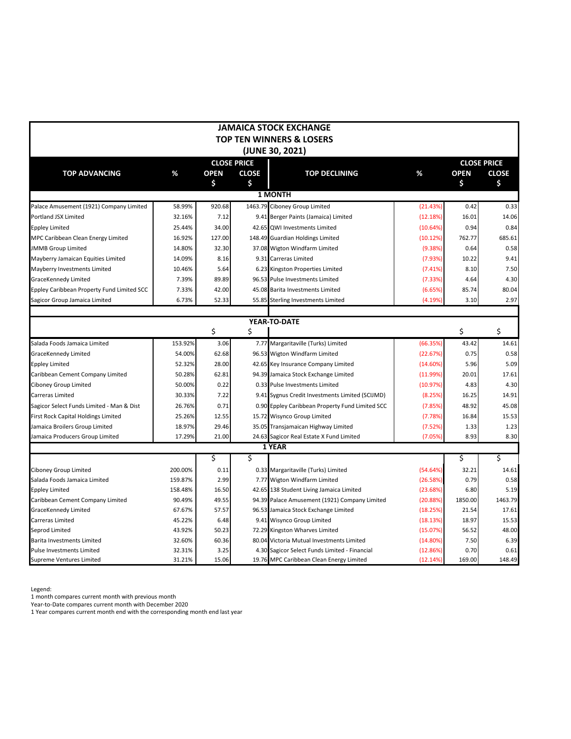|                                            |         |             |                    | <b>JAMAICA STOCK EXCHANGE</b>                   |          |             |                    |
|--------------------------------------------|---------|-------------|--------------------|-------------------------------------------------|----------|-------------|--------------------|
|                                            |         |             |                    | TOP TEN WINNERS & LOSERS                        |          |             |                    |
|                                            |         |             |                    | (JUNE 30, 2021)                                 |          |             |                    |
|                                            |         |             | <b>CLOSE PRICE</b> |                                                 |          |             | <b>CLOSE PRICE</b> |
| <b>TOP ADVANCING</b>                       | %       | <b>OPEN</b> | <b>CLOSE</b>       | <b>TOP DECLINING</b>                            | %        | <b>OPEN</b> | <b>CLOSE</b>       |
|                                            |         | \$          | \$                 |                                                 |          | \$          | \$                 |
|                                            |         |             |                    | 1 MONTH                                         |          |             |                    |
| Palace Amusement (1921) Company Limited    | 58.99%  | 920.68      |                    | 1463.79 Ciboney Group Limited                   | (21.43%) | 0.42        | 0.33               |
| Portland JSX Limited                       | 32.16%  | 7.12        |                    | 9.41 Berger Paints (Jamaica) Limited            | (12.18%) | 16.01       | 14.06              |
| <b>Eppley Limited</b>                      | 25.44%  | 34.00       |                    | 42.65 QWI Investments Limited                   | (10.64%) | 0.94        | 0.84               |
| MPC Caribbean Clean Energy Limited         | 16.92%  | 127.00      |                    | 148.49 Guardian Holdings Limited                | (10.12%) | 762.77      | 685.61             |
| <b>JMMB Group Limited</b>                  | 14.80%  | 32.30       |                    | 37.08 Wigton Windfarm Limited                   | (9.38%)  | 0.64        | 0.58               |
| Mayberry Jamaican Equities Limited         | 14.09%  | 8.16        |                    | 9.31 Carreras Limited                           | (7.93%)  | 10.22       | 9.41               |
| Mayberry Investments Limited               | 10.46%  | 5.64        |                    | 6.23 Kingston Properties Limited                | (7.41%)  | 8.10        | 7.50               |
| GraceKennedy Limited                       | 7.39%   | 89.89       |                    | 96.53 Pulse Investments Limited                 | (7.33%)  | 4.64        | 4.30               |
| Eppley Caribbean Property Fund Limited SCC | 7.33%   | 42.00       |                    | 45.08 Barita Investments Limited                | (6.65%)  | 85.74       | 80.04              |
| Sagicor Group Jamaica Limited              | 6.73%   | 52.33       | 55.85              | Sterling Investments Limited                    | (4.19%)  | 3.10        | 2.97               |
|                                            |         |             |                    |                                                 |          |             |                    |
|                                            |         |             |                    | YEAR-TO-DATE                                    |          |             |                    |
|                                            |         | \$          | \$                 |                                                 |          | \$          | \$                 |
| Salada Foods Jamaica Limited               | 153.92% | 3.06        |                    | 7.77 Margaritaville (Turks) Limited             | (66.35%) | 43.42       | 14.61              |
| GraceKennedy Limited                       | 54.00%  | 62.68       |                    | 96.53 Wigton Windfarm Limited                   | (22.67%) | 0.75        | 0.58               |
| <b>Eppley Limited</b>                      | 52.32%  | 28.00       |                    | 42.65 Key Insurance Company Limited             | (14.60%) | 5.96        | 5.09               |
| Caribbean Cement Company Limited           | 50.28%  | 62.81       |                    | 94.39 Jamaica Stock Exchange Limited            | (11.99%) | 20.01       | 17.61              |
| Ciboney Group Limited                      | 50.00%  | 0.22        |                    | 0.33 Pulse Investments Limited                  | (10.97%) | 4.83        | 4.30               |
| Carreras Limited                           | 30.33%  | 7.22        |                    | 9.41 Sygnus Credit Investments Limited (SCIJMD) | (8.25%)  | 16.25       | 14.91              |
| Sagicor Select Funds Limited - Man & Dist  | 26.76%  | 0.71        |                    | 0.90 Eppley Caribbean Property Fund Limited SCC | (7.85%)  | 48.92       | 45.08              |
| First Rock Capital Holdings Limited        | 25.26%  | 12.55       |                    | 15.72 Wisynco Group Limited                     | (7.78%)  | 16.84       | 15.53              |
| Jamaica Broilers Group Limited             | 18.97%  | 29.46       |                    | 35.05 Transjamaican Highway Limited             | (7.52%)  | 1.33        | 1.23               |
| Jamaica Producers Group Limited            | 17.29%  | 21.00       |                    | 24.63 Sagicor Real Estate X Fund Limited        | (7.05%)  | 8.93        | 8.30               |
|                                            |         |             |                    | 1 YEAR                                          |          |             |                    |
|                                            |         | \$          | \$                 |                                                 |          | \$          | \$                 |
| Ciboney Group Limited                      | 200.00% | 0.11        |                    | 0.33 Margaritaville (Turks) Limited             | (54.64%) | 32.21       | 14.61              |
| Salada Foods Jamaica Limited               | 159.87% | 2.99        |                    | 7.77 Wigton Windfarm Limited                    | (26.58%) | 0.79        | 0.58               |
| <b>Eppley Limited</b>                      | 158.48% | 16.50       |                    | 42.65 138 Student Living Jamaica Limited        | (23.68%) | 6.80        | 5.19               |
| Caribbean Cement Company Limited           | 90.49%  | 49.55       |                    | 94.39 Palace Amusement (1921) Company Limited   | (20.88%) | 1850.00     | 1463.79            |
| GraceKennedy Limited                       | 67.67%  | 57.57       |                    | 96.53 Jamaica Stock Exchange Limited            | (18.25%) | 21.54       | 17.61              |
| Carreras Limited                           | 45.22%  | 6.48        |                    | 9.41 Wisynco Group Limited                      | (18.13%) | 18.97       | 15.53              |
| Seprod Limited                             | 43.92%  | 50.23       |                    | 72.29 Kingston Wharves Limited                  | (15.07%) | 56.52       | 48.00              |
| <b>Barita Investments Limited</b>          | 32.60%  | 60.36       |                    | 80.04 Victoria Mutual Investments Limited       | (14.80%) | 7.50        | 6.39               |
| Pulse Investments Limited                  | 32.31%  | 3.25        |                    | 4.30 Sagicor Select Funds Limited - Financial   | (12.86%) | 0.70        | 0.61               |
| <b>Supreme Ventures Limited</b>            | 31.21%  | 15.06       |                    | 19.76 MPC Caribbean Clean Energy Limited        | (12.14%) | 169.00      | 148.49             |

Legend:

1 month compares current month with previous month

Year-to-Date compares current month with December 2020

1 Year compares current month end with the corresponding month end last year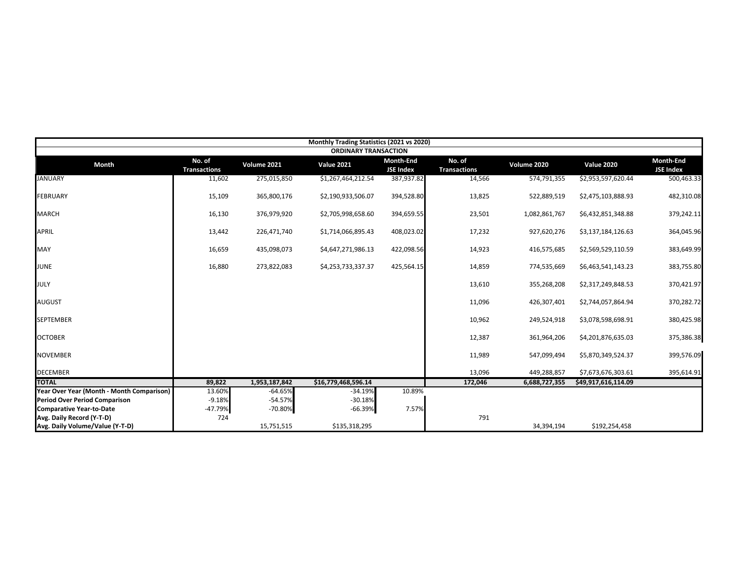|                                           |                               |               | Monthly Trading Statistics (2021 vs 2020) |                                      |                               |               |                     |                               |
|-------------------------------------------|-------------------------------|---------------|-------------------------------------------|--------------------------------------|-------------------------------|---------------|---------------------|-------------------------------|
|                                           |                               |               | <b>ORDINARY TRANSACTION</b>               |                                      |                               |               |                     |                               |
| Month                                     | No. of<br><b>Transactions</b> | Volume 2021   | <b>Value 2021</b>                         | <b>Month-End</b><br><b>JSE Index</b> | No. of<br><b>Transactions</b> | Volume 2020   | <b>Value 2020</b>   | Month-End<br><b>JSE Index</b> |
| <b>JANUARY</b>                            | 11,602                        | 275,015,850   | \$1,267,464,212.54                        | 387,937.82                           | 14,566                        | 574,791,355   | \$2,953,597,620.44  | 500,463.33                    |
| <b>FEBRUARY</b>                           | 15,109                        | 365,800,176   | \$2,190,933,506.07                        | 394,528.80                           | 13,825                        | 522,889,519   | \$2,475,103,888.93  | 482,310.08                    |
| <b>MARCH</b>                              | 16,130                        | 376,979,920   | \$2,705,998,658.60                        | 394,659.55                           | 23,501                        | 1,082,861,767 | \$6,432,851,348.88  | 379,242.11                    |
| <b>APRIL</b>                              | 13,442                        | 226,471,740   | \$1,714,066,895.43                        | 408,023.02                           | 17,232                        | 927,620,276   | \$3,137,184,126.63  | 364,045.96                    |
| MAY                                       | 16,659                        | 435,098,073   | \$4,647,271,986.13                        | 422,098.56                           | 14,923                        | 416,575,685   | \$2,569,529,110.59  | 383,649.99                    |
| <b>JUNE</b>                               | 16,880                        | 273,822,083   | \$4,253,733,337.37                        | 425,564.15                           | 14,859                        | 774,535,669   | \$6,463,541,143.23  | 383,755.80                    |
| <b>JULY</b>                               |                               |               |                                           |                                      | 13,610                        | 355,268,208   | \$2,317,249,848.53  | 370,421.97                    |
| <b>AUGUST</b>                             |                               |               |                                           |                                      | 11,096                        | 426,307,401   | \$2,744,057,864.94  | 370,282.72                    |
| <b>SEPTEMBER</b>                          |                               |               |                                           |                                      | 10,962                        | 249,524,918   | \$3,078,598,698.91  | 380,425.98                    |
| <b>OCTOBER</b>                            |                               |               |                                           |                                      | 12,387                        | 361,964,206   | \$4,201,876,635.03  | 375,386.38                    |
| <b>NOVEMBER</b>                           |                               |               |                                           |                                      | 11,989                        | 547,099,494   | \$5,870,349,524.37  | 399,576.09                    |
| <b>DECEMBER</b>                           |                               |               |                                           |                                      | 13,096                        | 449,288,857   | \$7,673,676,303.61  | 395,614.91                    |
| <b>TOTAL</b>                              | 89,822                        | 1,953,187,842 | \$16,779,468,596.14                       |                                      | 172,046                       | 6,688,727,355 | \$49,917,616,114.09 |                               |
| Year Over Year (Month - Month Comparison) | 13.60%                        | $-64.65%$     | $-34.19%$                                 | 10.89%                               |                               |               |                     |                               |
| <b>Period Over Period Comparison</b>      | $-9.18%$                      | $-54.57%$     | $-30.18%$                                 |                                      |                               |               |                     |                               |
| <b>Comparative Year-to-Date</b>           | -47.79%                       | $-70.80%$     | $-66.39%$                                 | 7.57%                                |                               |               |                     |                               |
| Avg. Daily Record (Y-T-D)                 | 724                           |               |                                           |                                      | 791                           |               |                     |                               |
| Avg. Daily Volume/Value (Y-T-D)           |                               | 15,751,515    | \$135,318,295                             |                                      |                               | 34,394,194    | \$192,254,458       |                               |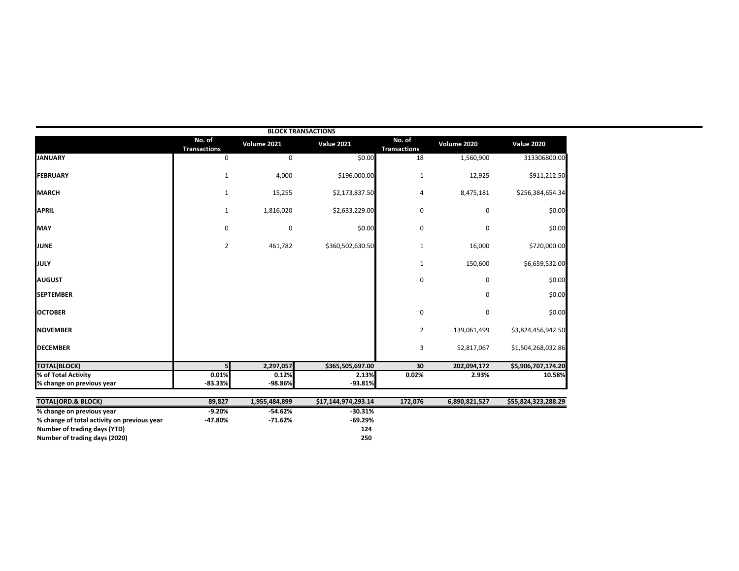|                                                  |                               |                  | <b>BLOCK TRANSACTIONS</b> |                               |               |                     |
|--------------------------------------------------|-------------------------------|------------------|---------------------------|-------------------------------|---------------|---------------------|
|                                                  | No. of<br><b>Transactions</b> | Volume 2021      | <b>Value 2021</b>         | No. of<br><b>Transactions</b> | Volume 2020   | <b>Value 2020</b>   |
| <b>JANUARY</b>                                   | 0                             | 0                | \$0.00                    | 18                            | 1,560,900     | 313306800.00        |
| <b>FEBRUARY</b>                                  | $\mathbf{1}$                  | 4,000            | \$196,000.00              | $\mathbf{1}$                  | 12,925        | \$911,212.50        |
| <b>MARCH</b>                                     | $\mathbf{1}$                  | 15,255           | \$2,173,837.50            | 4                             | 8,475,181     | \$256,384,654.34    |
| <b>APRIL</b>                                     | $\mathbf{1}$                  | 1,816,020        | \$2,633,229.00            | 0                             | 0             | \$0.00              |
| <b>MAY</b>                                       | 0                             | 0                | \$0.00                    | 0                             | 0             | \$0.00              |
| <b>JUNE</b>                                      | $\overline{2}$                | 461,782          | \$360,502,630.50          | $\mathbf{1}$                  | 16,000        | \$720,000.00        |
| <b>JULY</b>                                      |                               |                  |                           | $\mathbf{1}$                  | 150,600       | \$6,659,532.00      |
| <b>AUGUST</b>                                    |                               |                  |                           | $\mathbf 0$                   | 0             | \$0.00              |
| <b>SEPTEMBER</b>                                 |                               |                  |                           |                               | 0             | \$0.00              |
| <b>OCTOBER</b>                                   |                               |                  |                           | $\mathbf 0$                   | 0             | \$0.00              |
| <b>NOVEMBER</b>                                  |                               |                  |                           | 2                             | 139,061,499   | \$3,824,456,942.50  |
| <b>DECEMBER</b>                                  |                               |                  |                           | 3                             | 52,817,067    | \$1,504,268,032.86  |
| <b>TOTAL(BLOCK)</b>                              | 5                             | 2,297,057        | \$365,505,697.00          | 30                            | 202,094,172   | \$5,906,707,174.20  |
| % of Total Activity<br>% change on previous year | 0.01%<br>$-83.33%$            | 0.12%<br>-98.86% | 2.13%<br>$-93.81%$        | 0.02%                         | 2.93%         | 10.58%              |
|                                                  |                               |                  |                           |                               |               |                     |
| <b>TOTAL(ORD.&amp; BLOCK)</b>                    | 89,827                        | 1,955,484,899    | \$17,144,974,293.14       | 172,076                       | 6,890,821,527 | \$55,824,323,288.29 |
| % change on previous year                        | $-9.20%$                      | $-54.62%$        | $-30.31%$                 |                               |               |                     |
| % change of total activity on previous year      | -47.80%                       | $-71.62%$        | $-69.29%$                 |                               |               |                     |
| Number of trading days (YTD)                     |                               |                  | 124                       |                               |               |                     |
| Number of trading days (2020)                    |                               |                  | 250                       |                               |               |                     |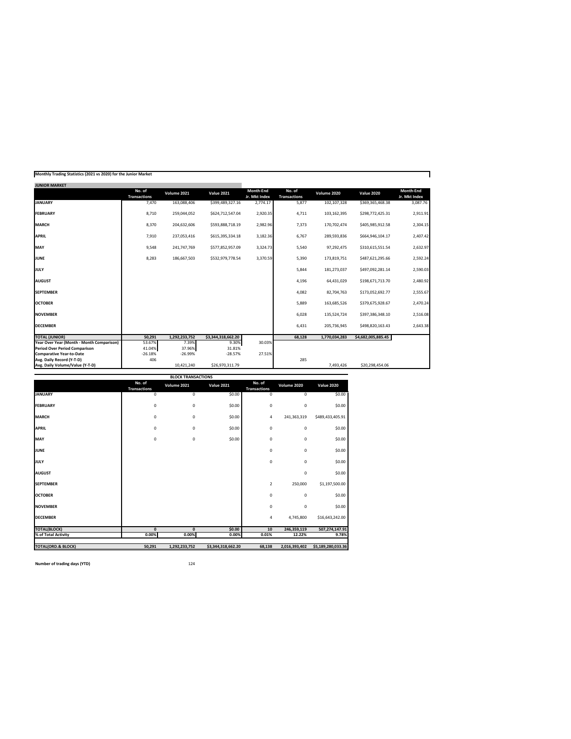|  |  | Monthly Trading Statistics (2021 vs 2020) for the Junior Market |
|--|--|-----------------------------------------------------------------|

| <b>JUNIOR MARKET</b>                      |                               |               |                    |                            |                               |               |                    |                            |
|-------------------------------------------|-------------------------------|---------------|--------------------|----------------------------|-------------------------------|---------------|--------------------|----------------------------|
|                                           | No. of<br><b>Transactions</b> | Volume 2021   | <b>Value 2021</b>  | Month-End<br>Jr. Mkt Index | No. of<br><b>Transactions</b> | Volume 2020   | <b>Value 2020</b>  | Month-End<br>Jr. Mkt Index |
| <b>JANUARY</b>                            | 7,470                         | 163,088,406   | \$399,489,327.16   | 2,774.17                   | 5,877                         | 102,107,328   | \$369,365,468.38   | 3,087.76                   |
| <b>FEBRUARY</b>                           | 8,710                         | 259,044,052   | \$624,712,547.04   | 2,920.35                   | 4,711                         | 103,162,395   | \$298,772,425.31   | 2,911.91                   |
| <b>MARCH</b>                              | 8,370                         | 204,632,606   | \$593,888,718.19   | 2,982.96                   | 7,373                         | 170,702,474   | \$405,985,912.58   | 2,304.15                   |
| <b>APRIL</b>                              | 7,910                         | 237,053,416   | \$615,395,334.18   | 3,182.36                   | 6,767                         | 289,593,836   | \$664,946,104.17   | 2,407.42                   |
| MAY                                       | 9,548                         | 241,747,769   | \$577,852,957.09   | 3,324.73                   | 5,540                         | 97,292,475    | \$310,615,551.54   | 2,632.97                   |
| <b>JUNE</b>                               | 8,283                         | 186,667,503   | \$532,979,778.54   | 3,370.59                   | 5,390                         | 173,819,751   | \$487,621,295.66   | 2,592.24                   |
| <b>JULY</b>                               |                               |               |                    |                            | 5,844                         | 181,273,037   | \$497,092,281.14   | 2,590.03                   |
| <b>AUGUST</b>                             |                               |               |                    |                            | 4,196                         | 64,431,029    | \$198,671,713.70   | 2,480.92                   |
| <b>SEPTEMBER</b>                          |                               |               |                    |                            | 4,082                         | 82,704,763    | \$173,052,692.77   | 2,555.67                   |
| <b>OCTOBER</b>                            |                               |               |                    |                            | 5,889                         | 163,685,526   | \$379,675,928.67   | 2,470.24                   |
| <b>NOVEMBER</b>                           |                               |               |                    |                            | 6,028                         | 135,524,724   | \$397,386,348.10   | 2,516.08                   |
| <b>DECEMBER</b>                           |                               |               |                    |                            | 6.431                         | 205,736,945   | \$498,820,163.43   | 2,643.38                   |
| <b>TOTAL (JUNIOR)</b>                     | 50,291                        | 1,292,233,752 | \$3,344,318,662.20 |                            | 68.128                        | 1,770,034,283 | \$4,682,005,885.45 |                            |
| Year Over Year (Month - Month Comparison) | 53.67%                        | 7.39%         | 9.30%              | 30.03%                     |                               |               |                    |                            |
| <b>Period Over Period Comparison</b>      | 41.04%                        | 37.96%        | 31.81%             |                            |                               |               |                    |                            |
| <b>Comparative Year-to-Date</b>           | $-26.18%$                     | $-26.99%$     | $-28.57%$          | 27.51%                     |                               |               |                    |                            |
| Avg. Daily Record (Y-T-D)                 | 406                           |               |                    |                            | 285                           |               |                    |                            |
| Avg. Daily Volume/Value (Y-T-D)           |                               | 10,421,240    | \$26,970,311.79    |                            |                               | 7,493,426     | \$20,298,454.06    |                            |

Ŧ.

|                               |                               | <b>BLOCK TRANSACTIONS</b> |                    |                               |               |                    |
|-------------------------------|-------------------------------|---------------------------|--------------------|-------------------------------|---------------|--------------------|
|                               | No. of<br><b>Transactions</b> | Volume 2021               | <b>Value 2021</b>  | No. of<br><b>Transactions</b> | Volume 2020   | <b>Value 2020</b>  |
| <b>JANUARY</b>                | 0                             | $\mathbf 0$               | \$0.00             | $\mathbf 0$                   | $\mathbf 0$   | \$0.00             |
| <b>FEBRUARY</b>               | $\mathbf{0}$                  | $\bf 0$                   | \$0.00             | $\mathbf 0$                   | $\mathbf 0$   | \$0.00             |
| <b>MARCH</b>                  | 0                             | $\bf 0$                   | \$0.00             | 4                             | 241,363,319   | \$489,433,405.91   |
| <b>APRIL</b>                  | 0                             | $\circ$                   | \$0.00             | $\mathbf 0$                   | $\mathbf 0$   | \$0.00             |
| MAY                           | $\mathbf{0}$                  | $\bf 0$                   | \$0.00             | $\mathbf 0$                   | $\mathbf 0$   | \$0.00             |
| <b>JUNE</b>                   |                               |                           |                    | $\mathbf 0$                   | $\mathbf 0$   | \$0.00             |
| JULY                          |                               |                           |                    | $\mathbf 0$                   | $\mathbf 0$   | \$0.00             |
| <b>AUGUST</b>                 |                               |                           |                    |                               | $\mathbf 0$   | \$0.00             |
| <b>SEPTEMBER</b>              |                               |                           |                    | 2                             | 250,000       | \$1,197,500.00     |
| <b>OCTOBER</b>                |                               |                           |                    | $\mathbf 0$                   | $\mathbf 0$   | \$0.00             |
| <b>NOVEMBER</b>               |                               |                           |                    | $\mathbf 0$                   | $\mathbf 0$   | \$0.00             |
| <b>DECEMBER</b>               |                               |                           |                    | 4                             | 4,745,800     | \$16,643,242.00    |
| <b>TOTAL(BLOCK)</b>           | $\mathbf{0}$                  | $\mathbf{0}$              | \$0.00             | 10                            | 246,359,119   | 507,274,147.91     |
| % of Total Activity           | 0.00%                         | 0.00%                     | 0.00%              | 0.01%                         | 12.22%        | 9.78%              |
| <b>TOTAL(ORD.&amp; BLOCK)</b> | 50,291                        | 1,292,233,752             | \$3,344,318,662.20 | 68,138                        | 2,016,393,402 | \$5,189,280,033.36 |

**Number of trading days (YTD)** 124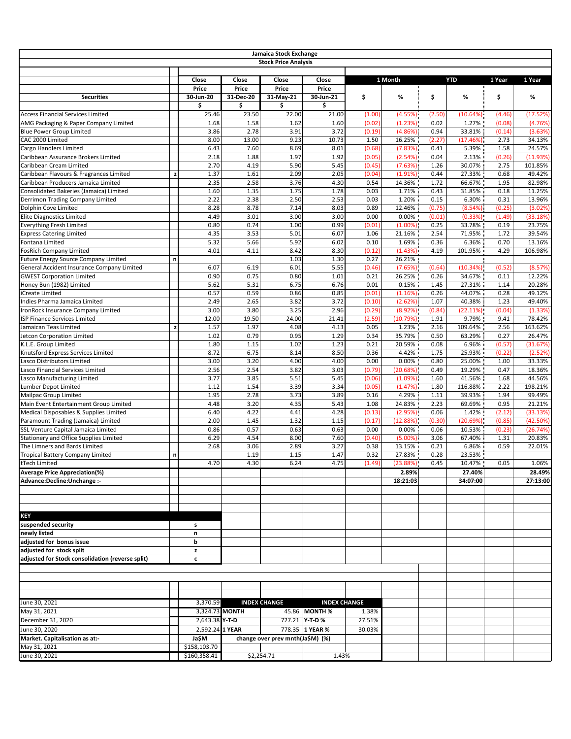|                                                                                    |   |                             |                | Jamaica Stock Exchange           |                       |                  |                    |              |                    |                  |                    |
|------------------------------------------------------------------------------------|---|-----------------------------|----------------|----------------------------------|-----------------------|------------------|--------------------|--------------|--------------------|------------------|--------------------|
|                                                                                    |   |                             |                | <b>Stock Price Analysis</b>      |                       |                  |                    |              |                    |                  |                    |
|                                                                                    |   | Close<br>Price              | Close<br>Price | Close<br>Price                   | Close<br>Price        |                  | 1 Month            |              | <b>YTD</b>         | 1 Year           | 1 Year             |
| <b>Securities</b>                                                                  |   | 30-Jun-20                   | 31-Dec-20      | 31-May-21                        | 30-Jun-21             | \$               | %                  | \$           | %                  | \$               | %                  |
|                                                                                    |   | \$                          | \$             | \$                               | \$                    |                  |                    |              |                    |                  |                    |
| <b>Access Financial Services Limited</b>                                           |   | 25.46                       | 23.50          | 22.00                            | 21.00                 | (1.00)           | (4.55%)            | (2.50)       | (10.64%)           | (4.46)           | (17.52%)           |
| AMG Packaging & Paper Company Limited<br><b>Blue Power Group Limited</b>           |   | 1.68<br>3.86                | 1.58<br>2.78   | 1.62<br>3.91                     | 1.60<br>3.72          | (0.02)<br>(0.19) | (1.23%)<br>(4.86%) | 0.02<br>0.94 | 1.27%<br>33.81%    | (0.08)<br>(0.14) | (4.76%<br>(3.63%)  |
| CAC 2000 Limited                                                                   |   | 8.00                        | 13.00          | 9.23                             | 10.73                 | 1.50             | 16.25%             | (2.27)       | (17.46%)           | 2.73             | 34.13%             |
| Cargo Handlers Limited                                                             |   | 6.43                        | 7.60           | 8.69                             | 8.01                  | (0.68)           | (7.83%)            | 0.41         | 5.39%              | 1.58             | 24.57%             |
| Caribbean Assurance Brokers Limited                                                |   | 2.18                        | 1.88           | 1.97                             | 1.92                  | (0.05)           | (2.54%)            | 0.04         | 2.13%              | (0.26)           | (11.93%            |
| Caribbean Cream Limited                                                            |   | 2.70                        | 4.19           | 5.90                             | 5.45                  | (0.45)           | (7.63%)            | 1.26         | 30.07%             | 2.75             | 101.85%            |
| Caribbean Flavours & Fragrances Limited                                            |   | 1.37                        | 1.61           | 2.09                             | 2.05                  | (0.04)           | (1.91%)            | 0.44         | 27.33%             | 0.68             | 49.42%             |
| Caribbean Producers Jamaica Limited<br>Consolidated Bakeries (Jamaica) Limited     |   | 2.35<br>1.60                | 2.58<br>1.35   | 3.76<br>1.75                     | 4.30<br>1.78          | 0.54<br>0.03     | 14.36%<br>1.71%    | 1.72<br>0.43 | 66.67%<br>31.85%   | 1.95<br>0.18     | 82.98%<br>11.25%   |
| Derrimon Trading Company Limited                                                   |   | 2.22                        | 2.38           | 2.50                             | 2.53                  | 0.03             | 1.20%              | 0.15         | 6.30%              | 0.31             | 13.96%             |
| Dolphin Cove Limited                                                               |   | 8.28                        | 8.78           | 7.14                             | 8.03                  | 0.89             | 12.46%             | (0.75)       | (8.54%)            | (0.25)           | (3.02%             |
| <b>Elite Diagnostics Limited</b>                                                   |   | 4.49                        | 3.01           | 3.00                             | 3.00                  | 0.00             | 0.00%              | (0.01)       | (0.33%)            | (1.49)           | (33.18%)           |
| <b>Everything Fresh Limited</b>                                                    |   | 0.80                        | 0.74           | 1.00                             | 0.99                  | (0.01)           | $(1.00\%)$         | 0.25         | 33.78%             | 0.19             | 23.75%             |
| <b>Express Catering Limited</b>                                                    |   | 4.35                        | 3.53           | 5.01                             | 6.07                  | 1.06             | 21.16%             | 2.54         | 71.95%             | 1.72             | 39.54%             |
| Fontana Limited                                                                    |   | 5.32                        | 5.66           | 5.92                             | 6.02                  | 0.10             | 1.69%              | 0.36         | 6.36%              | 0.70             | 13.16%             |
| <b>FosRich Company Limited</b>                                                     |   | 4.01                        | 4.11           | 8.42<br>1.03                     | 8.30<br>1.30          | (0.12)<br>0.27   | (1.43%)<br>26.21%  | 4.19         | 101.95%            | 4.29             | 106.98%            |
| Future Energy Source Company Limited<br>General Accident Insurance Company Limited | n | 6.07                        | 6.19           | 6.01                             | 5.55                  | (0.46)           | (7.65%)            | (0.64)       | (10.34%)           | (0.52)           | (8.57%)            |
| <b>GWEST Corporation Limited</b>                                                   |   | 0.90                        | 0.75           | 0.80                             | 1.01                  | 0.21             | 26.25%             | 0.26         | 34.67%             | 0.11             | 12.22%             |
| Honey Bun (1982) Limited                                                           |   | 5.62                        | 5.31           | 6.75                             | 6.76                  | 0.01             | 0.15%              | 1.45         | 27.31%             | 1.14             | 20.28%             |
| iCreate Limited                                                                    |   | 0.57                        | 0.59           | 0.86                             | 0.85                  | (0.01)           | (1.16%)            | 0.26         | 44.07%             | 0.28             | 49.12%             |
| Indies Pharma Jamaica Limited                                                      |   | 2.49                        | 2.65           | 3.82                             | 3.72                  | (0.10)           | (2.62%)            | 1.07         | 40.38%             | 1.23             | 49.40%             |
| IronRock Insurance Company Limited                                                 |   | 3.00                        | 3.80           | 3.25                             | 2.96                  | (0.29)           | (8.92%)            | (0.84)       | (22.11%)           | (0.04)           | (1.33%             |
| ISP Finance Services Limited                                                       |   | 12.00                       | 19.50          | 24.00                            | 21.41                 | (2.59)           | (10.79%)           | 1.91         | 9.79%              | 9.41             | 78.42%             |
| Jamaican Teas Limited<br>Jetcon Corporation Limited                                |   | 1.57<br>1.02                | 1.97<br>0.79   | 4.08<br>0.95                     | 4.13<br>1.29          | 0.05<br>0.34     | 1.23%<br>35.79%    | 2.16<br>0.50 | 109.64%<br>63.29%  | 2.56<br>0.27     | 163.62%<br>26.47%  |
| K.L.E. Group Limited                                                               |   | 1.80                        | 1.15           | 1.02                             | 1.23                  | 0.21             | 20.59%             | 0.08         | 6.96%              | (0.57)           | (31.67%)           |
| Knutsford Express Services Limited                                                 |   | 8.72                        | 6.75           | 8.14                             | 8.50                  | 0.36             | 4.42%              | 1.75         | 25.93%             | (0.22)           | (2.52%)            |
| Lasco Distributors Limited                                                         |   | 3.00                        | 3.20           | 4.00                             | 4.00                  | 0.00             | 0.00%              | 0.80         | 25.00%             | 1.00             | 33.33%             |
| Lasco Financial Services Limited                                                   |   | 2.56                        | 2.54           | 3.82                             | 3.03                  | (0.79)           | (20.68%)           | 0.49         | 19.29%             | 0.47             | 18.36%             |
| Lasco Manufacturing Limited                                                        |   | 3.77                        | 3.85           | 5.51                             | 5.45                  | (0.06)           | (1.09%)            | 1.60         | 41.56%             | 1.68             | 44.56%             |
| Lumber Depot Limited                                                               |   | 1.12                        | 1.54           | 3.39                             | 3.34                  | (0.05)           | (1.47%)            | 1.80         | 116.88%            | 2.22             | 198.21%            |
| Mailpac Group Limited                                                              |   | 1.95                        | 2.78           | 3.73                             | 3.89                  | 0.16             | 4.29%              | 1.11         | 39.93%             | 1.94             | 99.49%             |
| Main Event Entertainment Group Limited<br>Medical Disposables & Supplies Limited   |   | 4.48<br>6.40                | 3.20<br>4.22   | 4.35<br>4.41                     | 5.43<br>4.28          | 1.08<br>(0.13)   | 24.83%<br>(2.95%)  | 2.23<br>0.06 | 69.69%<br>1.42%    | 0.95<br>(2.12)   | 21.21%<br>(33.13%) |
| Paramount Trading (Jamaica) Limited                                                |   | 2.00                        | 1.45           | 1.32                             | 1.15                  | (0.17)           | (12.88%)           | (0.30)       | (20.69%)           | (0.85)           | (42.50%            |
| SSL Venture Capital Jamaica Limited                                                |   | 0.86                        | 0.57           | 0.63                             | 0.63                  | 0.00             | 0.00%              | 0.06         | 10.53%             | (0.23)           | (26.74%            |
| <b>Stationery and Office Supplies Limited</b>                                      |   | 6.29                        | 4.54           | 8.00                             | 7.60                  | (0.40)           | $(5.00\%)$         | 3.06         | 67.40%             | 1.31             | 20.83%             |
| The Limners and Bards Limited                                                      |   | 2.68                        | 3.06           | 2.89                             | 3.27                  | 0.38             | 13.15%             | 0.21         | 6.86%              | 0.59             | 22.01%             |
| <b>Tropical Battery Company Limited</b>                                            | n |                             | 1.19           | 1.15                             | 1.47                  | 0.32             | 27.83%             | 0.28         | 23.53%             |                  |                    |
| tTech Limited                                                                      |   | 4.70                        | 4.30           | 6.24                             | 4.75                  | (1.49)           | (23.88%)           | 0.45         | 10.47%             | 0.05             | 1.06%              |
| <b>Average Price Appreciation(%)</b><br>Advance:Decline:Unchange :-                |   |                             |                |                                  |                       |                  | 2.89%<br>18:21:03  |              | 27.40%<br>34:07:00 |                  | 28.49%<br>27:13:00 |
|                                                                                    |   |                             |                |                                  |                       |                  |                    |              |                    |                  |                    |
|                                                                                    |   |                             |                |                                  |                       |                  |                    |              |                    |                  |                    |
|                                                                                    |   |                             |                |                                  |                       |                  |                    |              |                    |                  |                    |
| KEY                                                                                |   |                             |                |                                  |                       |                  |                    |              |                    |                  |                    |
| suspended security                                                                 |   | s                           |                |                                  |                       |                  |                    |              |                    |                  |                    |
| newly listed                                                                       |   | n                           |                |                                  |                       |                  |                    |              |                    |                  |                    |
| adjusted for bonus issue                                                           |   | b                           |                |                                  |                       |                  |                    |              |                    |                  |                    |
| adjusted for stock split<br>adjusted for Stock consolidation (reverse split)       |   | $\mathbf{z}$<br>$\mathbf c$ |                |                                  |                       |                  |                    |              |                    |                  |                    |
|                                                                                    |   |                             |                |                                  |                       |                  |                    |              |                    |                  |                    |
|                                                                                    |   |                             |                |                                  |                       |                  |                    |              |                    |                  |                    |
|                                                                                    |   |                             |                |                                  |                       |                  |                    |              |                    |                  |                    |
|                                                                                    |   |                             |                |                                  |                       |                  |                    |              |                    |                  |                    |
| June 30, 2021                                                                      |   | 3,370.59                    |                | <b>INDEX CHANGE</b>              | <b>INDEX CHANGE</b>   |                  |                    |              |                    |                  |                    |
| May 31, 2021                                                                       |   | 3,324.73 MONTH              |                |                                  | 45.86 MONTH %         | 1.38%            |                    |              |                    |                  |                    |
| December 31, 2020                                                                  |   | 2,643.38 Y-T-D              |                |                                  | 727.21 <b>Y-T-D %</b> | 27.51%           |                    |              |                    |                  |                    |
| June 30, 2020                                                                      |   | 2,592.24 1 YEAR             |                |                                  | 778.35 1 YEAR %       | 30.03%           |                    |              |                    |                  |                    |
| Market. Capitalisation as at:-                                                     |   | Ja\$M                       |                | change over prev mnth(Ja\$M) (%) |                       |                  |                    |              |                    |                  |                    |
| May 31, 2021                                                                       |   | \$158,103.70                |                |                                  |                       |                  |                    |              |                    |                  |                    |
| June 30, 2021                                                                      |   | \$160,358.41                |                | \$2,254.71                       | 1.43%                 |                  |                    |              |                    |                  |                    |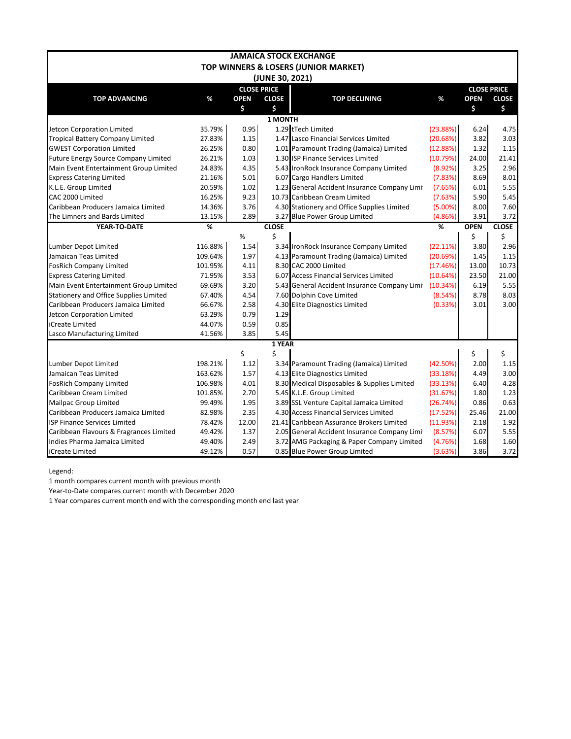| <b>JAMAICA STOCK EXCHANGE</b>               |                 |             |                    |                                              |            |                    |              |  |  |  |  |  |
|---------------------------------------------|-----------------|-------------|--------------------|----------------------------------------------|------------|--------------------|--------------|--|--|--|--|--|
|                                             |                 |             |                    | TOP WINNERS & LOSERS (JUNIOR MARKET)         |            |                    |              |  |  |  |  |  |
|                                             | (JUNE 30, 2021) |             |                    |                                              |            |                    |              |  |  |  |  |  |
|                                             |                 |             | <b>CLOSE PRICE</b> |                                              |            | <b>CLOSE PRICE</b> |              |  |  |  |  |  |
| <b>TOP ADVANCING</b>                        | %               | <b>OPEN</b> | <b>CLOSE</b>       | <b>TOP DECLINING</b>                         | %          | <b>OPEN</b>        | <b>CLOSE</b> |  |  |  |  |  |
|                                             |                 | \$          | \$                 |                                              |            | \$                 | \$           |  |  |  |  |  |
|                                             |                 |             | <b>1 MONTH</b>     |                                              |            |                    |              |  |  |  |  |  |
| Jetcon Corporation Limited                  | 35.79%          | 0.95        |                    | 1.29 tTech Limited                           | (23.88%)   | 6.24               | 4.75         |  |  |  |  |  |
| <b>Tropical Battery Company Limited</b>     | 27.83%          | 1.15        |                    | 1.47 Lasco Financial Services Limited        | (20.68%)   | 3.82               | 3.03         |  |  |  |  |  |
| <b>GWEST Corporation Limited</b>            | 26.25%          | 0.80        |                    | 1.01 Paramount Trading (Jamaica) Limited     | (12.88%)   | 1.32               | 1.15         |  |  |  |  |  |
| <b>Future Energy Source Company Limited</b> | 26.21%          | 1.03        |                    | 1.30 ISP Finance Services Limited            | (10.79%)   | 24.00              | 21.41        |  |  |  |  |  |
| Main Event Entertainment Group Limited      | 24.83%          | 4.35        |                    | 5.43 IronRock Insurance Company Limited      | (8.92%)    | 3.25               | 2.96         |  |  |  |  |  |
| <b>Express Catering Limited</b>             | 21.16%          | 5.01        |                    | 6.07 Cargo Handlers Limited                  | (7.83%)    | 8.69               | 8.01         |  |  |  |  |  |
| K.L.E. Group Limited                        | 20.59%          | 1.02        |                    | 1.23 General Accident Insurance Company Limi | (7.65%)    | 6.01               | 5.55         |  |  |  |  |  |
| CAC 2000 Limited                            | 16.25%          | 9.23        |                    | 10.73 Caribbean Cream Limited                | (7.63%)    | 5.90               | 5.45         |  |  |  |  |  |
| Caribbean Producers Jamaica Limited         | 14.36%          | 3.76        |                    | 4.30 Stationery and Office Supplies Limited  | $(5.00\%)$ | 8.00               | 7.60         |  |  |  |  |  |
| The Limners and Bards Limited               | 13.15%          | 2.89        |                    | 3.27 Blue Power Group Limited                | (4.86%)    | 3.91               | 3.72         |  |  |  |  |  |
| YEAR-TO-DATE                                | %               |             | <b>CLOSE</b>       |                                              | %          | <b>OPEN</b>        | <b>CLOSE</b> |  |  |  |  |  |
|                                             |                 | %           | \$                 |                                              |            | \$                 | \$           |  |  |  |  |  |
| Lumber Depot Limited                        | 116.88%         | 1.54        |                    | 3.34 IronRock Insurance Company Limited      | (22.11%)   | 3.80               | 2.96         |  |  |  |  |  |
| Jamaican Teas Limited                       | 109.64%         | 1.97        |                    | 4.13 Paramount Trading (Jamaica) Limited     | (20.69%)   | 1.45               | 1.15         |  |  |  |  |  |
| <b>FosRich Company Limited</b>              | 101.95%         | 4.11        |                    | 8.30 CAC 2000 Limited                        | (17.46%)   | 13.00              | 10.73        |  |  |  |  |  |
| <b>Express Catering Limited</b>             | 71.95%          | 3.53        |                    | 6.07 Access Financial Services Limited       | (10.64%)   | 23.50              | 21.00        |  |  |  |  |  |
| Main Event Entertainment Group Limited      | 69.69%          | 3.20        |                    | 5.43 General Accident Insurance Company Limi | (10.34%)   | 6.19               | 5.55         |  |  |  |  |  |
| Stationery and Office Supplies Limited      | 67.40%          | 4.54        |                    | 7.60 Dolphin Cove Limited                    | (8.54%)    | 8.78               | 8.03         |  |  |  |  |  |
| Caribbean Producers Jamaica Limited         | 66.67%          | 2.58        |                    | 4.30 Elite Diagnostics Limited               | (0.33%)    | 3.01               | 3.00         |  |  |  |  |  |
| Jetcon Corporation Limited                  | 63.29%          | 0.79        | 1.29               |                                              |            |                    |              |  |  |  |  |  |
| iCreate Limited                             | 44.07%          | 0.59        | 0.85               |                                              |            |                    |              |  |  |  |  |  |
| Lasco Manufacturing Limited                 | 41.56%          | 3.85        | 5.45               |                                              |            |                    |              |  |  |  |  |  |
|                                             |                 |             | 1 YEAR             |                                              |            |                    |              |  |  |  |  |  |
|                                             |                 | \$          | \$                 |                                              |            | \$                 | \$           |  |  |  |  |  |
| Lumber Depot Limited                        | 198.21%         | 1.12        |                    | 3.34 Paramount Trading (Jamaica) Limited     | (42.50%)   | 2.00               | 1.15         |  |  |  |  |  |
| Jamaican Teas Limited                       | 163.62%         | 1.57        |                    | 4.13 Elite Diagnostics Limited               | (33.18%)   | 4.49               | 3.00         |  |  |  |  |  |
| <b>FosRich Company Limited</b>              | 106.98%         | 4.01        |                    | 8.30 Medical Disposables & Supplies Limited  | (33.13%)   | 6.40               | 4.28         |  |  |  |  |  |
| Caribbean Cream Limited                     | 101.85%         | 2.70        |                    | 5.45 K.L.E. Group Limited                    | (31.67%)   | 1.80               | 1.23         |  |  |  |  |  |
| <b>Mailpac Group Limited</b>                | 99.49%          | 1.95        |                    | 3.89 SSL Venture Capital Jamaica Limited     | (26.74%)   | 0.86               | 0.63         |  |  |  |  |  |
| Caribbean Producers Jamaica Limited         | 82.98%          | 2.35        |                    | 4.30 Access Financial Services Limited       | (17.52%)   | 25.46              | 21.00        |  |  |  |  |  |
| <b>ISP Finance Services Limited</b>         | 78.42%          | 12.00       |                    | 21.41 Caribbean Assurance Brokers Limited    | (11.93%)   | 2.18               | 1.92         |  |  |  |  |  |
| Caribbean Flavours & Fragrances Limited     | 49.42%          | 1.37        |                    | 2.05 General Accident Insurance Company Limi | (8.57%)    | 6.07               | 5.55         |  |  |  |  |  |
| Indies Pharma Jamaica Limited               | 49.40%          | 2.49        |                    | 3.72 AMG Packaging & Paper Company Limited   | (4.76%)    | 1.68               | 1.60         |  |  |  |  |  |
| iCreate Limited                             | 49.12%          | 0.57        |                    | 0.85 Blue Power Group Limited                | (3.63%)    | 3.86               | 3.72         |  |  |  |  |  |

Legend:

1 month compares current month with previous month

Year-to-Date compares current month with December 2020

1 Year compares current month end with the corresponding month end last year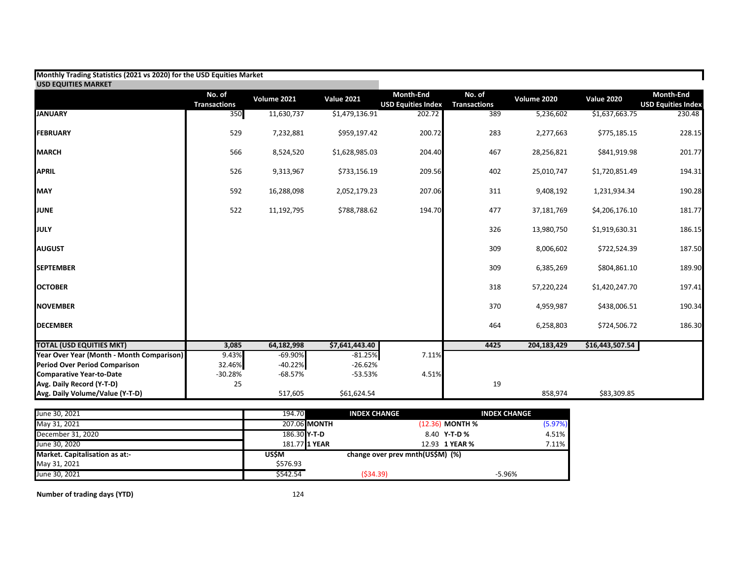| Monthly Trading Statistics (2021 vs 2020) for the USD Equities Market |                               |             |                   |                                        |                               |             |                   |                                        |
|-----------------------------------------------------------------------|-------------------------------|-------------|-------------------|----------------------------------------|-------------------------------|-------------|-------------------|----------------------------------------|
| <b>USD EQUITIES MARKET</b>                                            |                               |             |                   |                                        |                               |             |                   |                                        |
|                                                                       | No. of<br><b>Transactions</b> | Volume 2021 | <b>Value 2021</b> | Month-End<br><b>USD Equities Index</b> | No. of<br><b>Transactions</b> | Volume 2020 | <b>Value 2020</b> | Month-End<br><b>USD Equities Index</b> |
| <b>JANUARY</b>                                                        | 350                           | 11,630,737  | \$1,479,136.91    | 202.72                                 | 389                           | 5,236,602   | \$1,637,663.75    | 230.48                                 |
| <b>FEBRUARY</b>                                                       | 529                           | 7,232,881   | \$959,197.42      | 200.72                                 | 283                           | 2,277,663   | \$775,185.15      | 228.15                                 |
| <b>MARCH</b>                                                          | 566                           | 8,524,520   | \$1,628,985.03    | 204.40                                 | 467                           | 28,256,821  | \$841,919.98      | 201.77                                 |
| <b>APRIL</b>                                                          | 526                           | 9,313,967   | \$733,156.19      | 209.56                                 | 402                           | 25,010,747  | \$1,720,851.49    | 194.31                                 |
| <b>MAY</b>                                                            | 592                           | 16,288,098  | 2,052,179.23      | 207.06                                 | 311                           | 9,408,192   | 1,231,934.34      | 190.28                                 |
| <b>JUNE</b>                                                           | 522                           | 11,192,795  | \$788,788.62      | 194.70                                 | 477                           | 37,181,769  | \$4,206,176.10    | 181.77                                 |
| JULY                                                                  |                               |             |                   |                                        | 326                           | 13,980,750  | \$1,919,630.31    | 186.15                                 |
| <b>AUGUST</b>                                                         |                               |             |                   |                                        | 309                           | 8,006,602   | \$722,524.39      | 187.50                                 |
| <b>SEPTEMBER</b>                                                      |                               |             |                   |                                        | 309                           | 6,385,269   | \$804,861.10      | 189.90                                 |
| <b>OCTOBER</b>                                                        |                               |             |                   |                                        | 318                           | 57,220,224  | \$1,420,247.70    | 197.41                                 |
| <b>INOVEMBER</b>                                                      |                               |             |                   |                                        | 370                           | 4,959,987   | \$438,006.51      | 190.34                                 |
| <b>DECEMBER</b>                                                       |                               |             |                   |                                        | 464                           | 6,258,803   | \$724,506.72      | 186.30                                 |
| <b>TOTAL (USD EQUITIES MKT)</b>                                       | 3,085                         | 64,182,998  | \$7,641,443.40    |                                        | 4425                          | 204,183,429 | \$16,443,507.54   |                                        |
| Year Over Year (Month - Month Comparison)                             | 9.43%                         | $-69.90%$   | $-81.25%$         | 7.11%                                  |                               |             |                   |                                        |
| <b>Period Over Period Comparison</b>                                  | 32.46%                        | $-40.22%$   | $-26.62%$         |                                        |                               |             |                   |                                        |
| <b>Comparative Year-to-Date</b>                                       | $-30.28%$                     | $-68.57%$   | $-53.53%$         | 4.51%                                  |                               |             |                   |                                        |
| Avg. Daily Record (Y-T-D)                                             | 25                            |             |                   |                                        | 19                            |             |                   |                                        |
| Avg. Daily Volume/Value (Y-T-D)                                       |                               | 517,605     | \$61,624.54       |                                        |                               | 858,974     | \$83,309.85       |                                        |

| June 30, 2021                  | 194.70       | <b>INDEX CHANGE</b> |                                  | <b>INDEX CHANGE</b> |
|--------------------------------|--------------|---------------------|----------------------------------|---------------------|
| May 31, 2021                   |              | 207.06 MONTH        | $(12.36)$ MONTH %                | (5.97%)             |
| December 31, 2020              | 186.30 Y-T-D |                     | 8.40 Y-T-D %                     | 4.51%               |
| June 30, 2020                  |              | 181.77 1 YEAR       | 12.93 1 YEAR %                   | 7.11%               |
| Market. Capitalisation as at:- | US\$M        |                     | change over prev mnth(US\$M) (%) |                     |
| May 31, 2021                   | \$576.93     |                     |                                  |                     |
| June 30, 2021                  | \$542.54     | (534.39)            |                                  | $-5.96%$            |

**Number of trading days (YTD)** 124